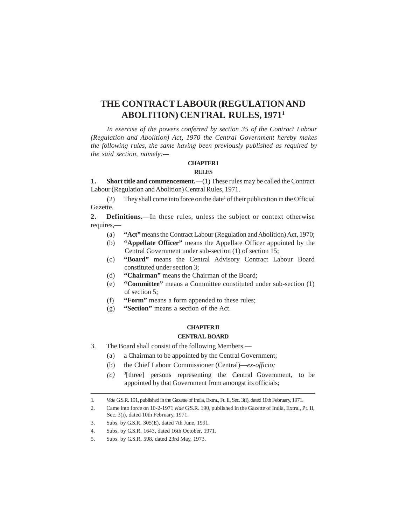# **THE CONTRACT LABOUR (REGULATION AND ABOLITION) CENTRAL RULES, 1971<sup>1</sup>**

*In exercise of the powers conferred by section 35 of the Contract Labour (Regulation and Abolition) Act, 1970 the Central Government hereby makes the following rules, the same having been previously published as required by the said section, namely:—*

#### **CHAPTERI RULES**

**1.** Short title and commencement.—(1) These rules may be called the Contract Labour (Regulation and Abolition) Central Rules, 1971.

(2) They shall come into force on the date<sup>2</sup> of their publication in the Official Gazette.

**2. Definitions.**—In these rules, unless the subject or context otherwise requires,—

- (a) **"Act"** means the Contract Labour (Regulation and Abolition) Act, 1970;
- (b) **"Appellate Officer"** means the Appellate Officer appointed by the Central Government under sub-section (1) of section 15;
- (c) **"Board"** means the Central Advisory Contract Labour Board constituted under section 3;
- (d) **"Chairman"** means the Chairman of the Board;
- (e) **"Committee"** means a Committee constituted under sub-section (1) of section 5;
- (f) **"Form"** means a form appended to these rules;
- (g) **"Section"** means a section of the Act.

## **CHAPTERII**

### **CENTRAL BOARD**

- 3. The Board shall consist of the following Members.—
	- (a) a Chairman to be appointed by the Central Government;
	- (b) the Chief Labour Commissioner (Central)—*ex-officio;*
	- $(c)$ <sup>3</sup>[three] persons representing the Central Government, to be appointed by that Government from amongst its officials;

- 2. Came into force on 10-2-1971 *vide* G.S.R. 190, published in the Gazette of India, Extra., Pt. II, Sec. 3(i), dated 10th February, 1971.
- 3. Subs, by G.S.R. 305(E), dated 7th June, 1991.
- 4. Subs, by G.S.R. 1643, dated 16th October, 1971.
- 5. Subs, by G.S.R. 598, dated 23rd May, 1973.

<sup>1.</sup> *Vide* G.S.R. 191, published in the Gazette of India, Extra., Ft. II, Sec. 3(i), dated 10th February, 1971.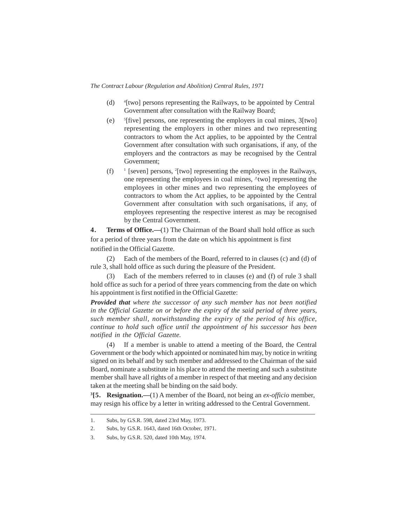- $(d)$ [two] persons representing the Railways, to be appointed by Central Government after consultation with the Railway Board;
- $(e)$  $[$ [five] persons, one representing the employers in coal mines,  $3$ [two] representing the employers in other mines and two representing contractors to whom the Act applies, to be appointed by the Central Government after consultation with such organisations, if any, of the employers and the contractors as may be recognised by the Central Government;
- $(f)$ <sup>1</sup> [seven] persons, <sup>2</sup>[two] representing the employees in the Railways, one representing the employees in coal mines, ^two] representing the employees in other mines and two representing the employees of contractors to whom the Act applies, to be appointed by the Central Government after consultation with such organisations, if any, of employees representing the respective interest as may be recognised by the Central Government.

**4.** Terms of Office.—(1) The Chairman of the Board shall hold office as such for a period of three years from the date on which his appointment is first notified in the Official Gazette.

(2) Each of the members of the Board, referred to in clauses (c) and (d) of rule 3, shall hold office as such during the pleasure of the President.

Each of the members referred to in clauses (e) and (f) of rule 3 shall hold office as such for a period of three years commencing from the date on which his appointment is first notified in the Official Gazette:

*Provided that where the successor of any such member has not been notified in the Official Gazette on or before the expiry of the said period of three years, such member shall, notwithstanding the expiry of the period of his office, continue to hold such office until the appointment of his successor has been notified in the Official Gazette.*

(4) If a member is unable to attend a meeting of the Board, the Central Government or the body which appointed or nominated him may, by notice in writing signed on its behalf and by such member and addressed to the Chairman of the said Board, nominate a substitute in his place to attend the meeting and such a substitute member shall have all rights of a member in respect of that meeting and any decision taken at the meeting shall be binding on the said body.

**3 [5. Resignation.—**(1) A member of the Board, not being an *ex-officio* member, may resign his office by a letter in writing addressed to the Central Government.

<sup>1.</sup> Subs, by G.S.R. 598, dated 23rd May, 1973.

<sup>2.</sup> Subs, by G.S.R. 1643, dated 16th October, 1971.

<sup>3.</sup> Subs, by G.S.R. 520, dated 10th May, 1974.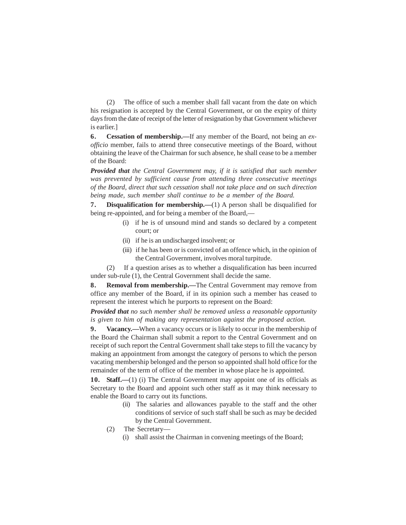(2) The office of such a member shall fall vacant from the date on which his resignation is accepted by the Central Government, or on the expiry of thirty days from the date of receipt of the letter of resignation by that Government whichever is earlier.]

**6 . Cessation of membership.—**If any member of the Board, not being an *exofficio* member, fails to attend three consecutive meetings of the Board, without obtaining the leave of the Chairman for such absence, he shall cease to be a member of the Board:

*Provided that the Central Government may, if it is satisfied that such member was prevented by sufficient cause from attending three consecutive meetings of the Board, direct that such cessation shall not take place and on such direction being made, such member shall continue to be a member of the Board.*

**7 . Disqualification for membership.—**(1) A person shall be disqualified for being re-appointed, and for being a member of the Board,—

- (i) if he is of unsound mind and stands so declared by a competent court; or
- (ii) if he is an undischarged insolvent; or
- (iii) if he has been or is convicted of an offence which, in the opinion of the Central Government, involves moral turpitude.

(2) If a question arises as to whether a disqualification has been incurred under sub-rule (1), the Central Government shall decide the same.

**8.** Removal from membership.—The Central Government may remove from office any member of the Board, if in its opinion such a member has ceased to represent the interest which he purports to represent on the Board:

*Provided that no such member shall be removed unless a reasonable opportunity is given to him of making any representation against the proposed action.*

**9 . Vacancy.—**When a vacancy occurs or is likely to occur in the membership of the Board the Chairman shall submit a report to the Central Government and on receipt of such report the Central Government shall take steps to fill the vacancy by making an appointment from amongst the category of persons to which the person vacating membership belonged and the person so appointed shall hold office for the remainder of the term of office of the member in whose place he is appointed.

10. **Staff.**—(1) (i) The Central Government may appoint one of its officials as Secretary to the Board and appoint such other staff as it may think necessary to enable the Board to carry out its functions.

- (ii) The salaries and allowances payable to the staff and the other conditions of service of such staff shall be such as may be decided by the Central Government.
- (2) The Secretary—
	- (i) shall assist the Chairman in convening meetings of the Board;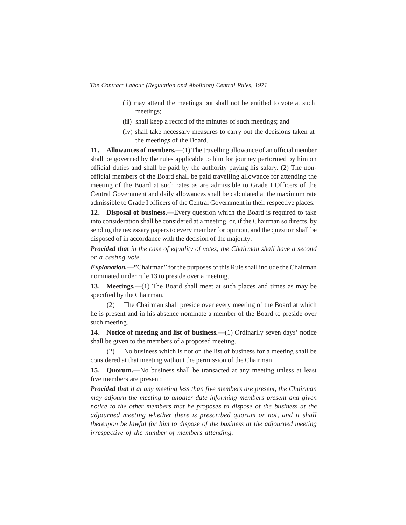- (ii) may attend the meetings but shall not be entitled to vote at such meetings;
- (iii) shall keep a record of the minutes of such meetings; and
- (iv) shall take necessary measures to carry out the decisions taken at the meetings of the Board.

**11.** Allowances of members.—(1) The travelling allowance of an official member shall be governed by the rules applicable to him for journey performed by him on official duties and shall be paid by the authority paying his salary. (2) The nonofficial members of the Board shall be paid travelling allowance for attending the meeting of the Board at such rates as are admissible to Grade I Officers of the Central Government and daily allowances shall be calculated at the maximum rate admissible to Grade I officers of the Central Government in their respective places.

**12. Disposal of business.—**Every question which the Board is required to take into consideration shall be considered at a meeting, or, if the Chairman so directs, by sending the necessary papers to every member for opinion, and the question shall be disposed of in accordance with the decision of the majority:

*Provided that in the case of equality of votes, the Chairman shall have a second or a casting vote.*

*Explanation.—***"**Chairman" for the purposes of this Rule shall include the Chairman nominated under rule 13 to preside over a meeting.

**13. Meetings.—**(1) The Board shall meet at such places and times as may be specified by the Chairman.

(2) The Chairman shall preside over every meeting of the Board at which he is present and in his absence nominate a member of the Board to preside over such meeting.

**14. Notice of meeting and list of business.—**(1) Ordinarily seven days' notice shall be given to the members of a proposed meeting.

(2) No business which is not on the list of business for a meeting shall be considered at that meeting without the permission of the Chairman.

**15. Quorum.—**No business shall be transacted at any meeting unless at least five members are present:

*Provided that if at any meeting less than five members are present, the Chairman may adjourn the meeting to another date informing members present and given notice to the other members that he proposes to dispose of the business at the adjourned meeting whether there is prescribed quorum or not, and it shall thereupon be lawful for him to dispose of the business at the adjourned meeting irrespective of the number of members attending.*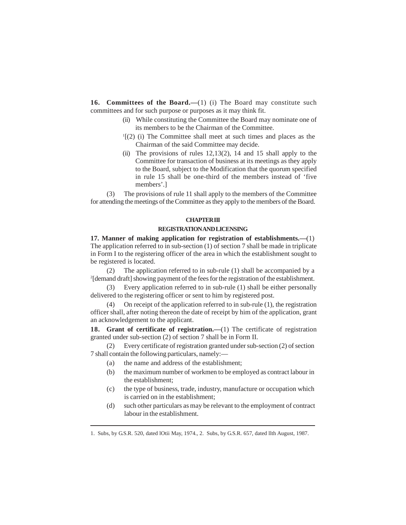16. **Committees of the Board.**—(1) (i) The Board may constitute such committees and for such purpose or purposes as it may think fit.

- (ii) While constituting the Committee the Board may nominate one of its members to be the Chairman of the Committee.
- 1 [(2) (i) The Committee shall meet at such times and places as the Chairman of the said Committee may decide.
- (ii) The provisions of rules  $12,13(2)$ , 14 and 15 shall apply to the Committee for transaction of business at its meetings as they apply to the Board, subject to the Modification that the quorum specified in rule 15 shall be one-third of the members instead of 'five members'.]

(3) The provisions of rule 11 shall apply to the members of the Committee for attending the meetings of the Committee as they apply to the members of the Board.

#### **CHAPTERIII**

### **REGISTRATIONAND LICENSING**

**17. Manner of making application for registration of establishments.—**(1) The application referred to in sub-section (1) of section 7 shall be made in triplicate in Form I to the registering officer of the area in which the establishment sought to be registered is located.

(2) The application referred to in sub-rule (1) shall be accompanied by a 2 [demand draft] showing payment of the fees for the registration of the establishment.

(3) Every application referred to in sub-rule (1) shall be either personally delivered to the registering officer or sent to him by registered post.

On receipt of the application referred to in sub-rule  $(1)$ , the registration officer shall, after noting thereon the date of receipt by him of the application, grant an acknowledgement to the applicant.

**18. Grant of certificate of registration.—**(1) The certificate of registration granted under sub-section (2) of section 7 shall be in Form II.

(2) Every certificate of registration granted under sub-section (2) of section 7 shall contain the following particulars, namely:—

- (a) the name and address of the establishment;
- (b) the maximum number of workmen to be employed as contract labour in the establishment;
- (c) the type of business, trade, industry, manufacture or occupation which is carried on in the establishment;
- (d) such other particulars as may be relevant to the employment of contract labour in the establishment.

<sup>1.</sup> Subs, by G.S.R. 520, dated lOtii May, 1974., 2. Subs, by G.S.R. 657, dated llth August, 1987.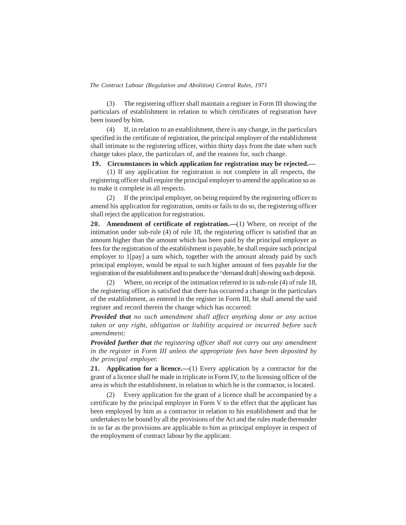(3) The registering officer shall maintain a register in Form III showing the particulars of establishment in relation to which certificates of registration have been issued by him.

(4) If, in relation to an establishment, there is any change, in the particulars specified in the certificate of registration, the principal employer of the establishment shall intimate to the registering officer, within thirty days from the date when such change takes place, the particulars of, and the reasons for, such change.

### **19. Circumstances in which application for registration may be rejected.—**

(1) If any application for registration is not complete in all respects, the registering officer shall require the principal employer to amend the application so as to make it complete in all respects.

(2) If the principal employer, on being required by the registering officer to amend his application for registration, omits or fails to do so, the registering officer shall reject the application for registration.

**20. Amendment of certificate of registration.—**(1) Where, on receipt of the intimation under sub-rule (4) of rule 18, the registering officer is satisfied that an amount higher than the amount which has been paid by the principal employer as fees for the registration of the establishment is payable, he shall require such principal employer to 1[pay] a sum which, together with the amount already paid by such principal employer, would be equal to such higher amount of fees payable for the registration of the establishment and to produce the ^demand draft] showing such deposit.

(2) Where, on receipt of the intimation referred to in sub-rule (4) of rule 18, the registering officer is satisfied that there has occurred a change in the particulars of the establishment, as entered in the register in Form III, he shall amend the said register and record therein the change which has occurred:

*Provided that no such amendment shall affect anything done or any action taken or any right, obligation or liability acquired or incurred before such amendment:*

*Provided further that the registering officer shall not carry out any amendment in the register in Form III unless the appropriate fees have been deposited by the principal employer.*

**21. Application for a licence.—**(1) Every application by a contractor for the grant of a licence shall be made in triplicate in Form IV, to the licensing officer of the area in which the establishment, in relation to which he is the contractor, is located.

(2) Every application for the grant of a licence shall be accompanied by a certificate by the principal employer in Form V to the effect that the applicant has been employed by him as a contractor in relation to his establishment and that he undertakes to be bound by all the provisions of the Act and the rules made thereunder in so far as the provisions are applicable to him as principal employer in respect of the employment of contract labour by the applicant.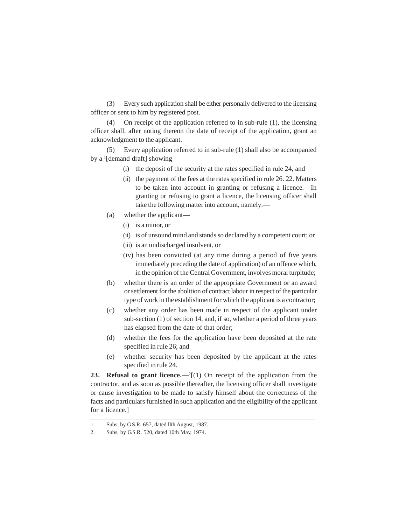(3) Every such application shall be either personally delivered to the licensing officer or sent to him by registered post.

(4) On receipt of the application referred to in sub-rule (1), the licensing officer shall, after noting thereon the date of receipt of the application, grant an acknowledgment to the applicant.

(5) Every application referred to in sub-rule (1) shall also be accompanied by a <sup>1</sup> [demand draft] showing—

- (i) the deposit of the security at the rates specified in rule 24, and
- (ii) the payment of the fees at the rates specified in rule 26. 22. Matters to be taken into account in granting or refusing a licence.—In granting or refusing to grant a licence, the licensing officer shall take the following matter into account, namely:—
- (a) whether the applicant—
	- (i) is a minor, or
	- (ii) is of unsound mind and stands so declared by a competent court; or
	- (iii) is an undischarged insolvent, or
	- (iv) has been convicted (at any time during a period of five years immediately preceding the date of application) of an offence which, in the opinion of the Central Government, involves moral turpitude;
- (b) whether there is an order of the appropriate Government or an award or settlement for the abolition of contract labour in respect of the particular type of work in the establishment for which the applicant is a contractor;
- (c) whether any order has been made in respect of the applicant under sub-section (1) of section 14, and, if so, whether a period of three years has elapsed from the date of that order;
- (d) whether the fees for the application have been deposited at the rate specified in rule 26; and
- (e) whether security has been deposited by the applicant at the rates specified in rule 24.

**23. Refusal to grant licence.**—<sup>2</sup>[(1) On receipt of the application from the contractor, and as soon as possible thereafter, the licensing officer shall investigate or cause investigation to be made to satisfy himself about the correctness of the facts and particulars furnished in such application and the eligibility of the applicant for a licence.]

<sup>1.</sup> Subs, by G.S.R. 657, dated llth August, 1987.

<sup>2.</sup> Subs, by G.S.R. 520, dated 10th May, 1974.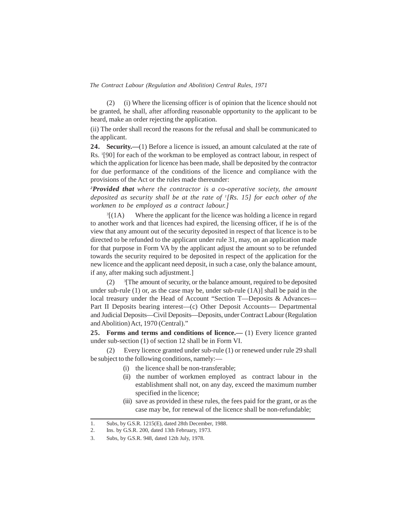(2) (i) Where the licensing officer is of opinion that the licence should not be granted, he shall, after affording reasonable opportunity to the applicant to be heard, make an order rejecting the application.

(ii) The order shall record the reasons for the refusal and shall be communicated to the applicant.

**24. Security.—**(1) Before a licence is issued, an amount calculated at the rate of Rs. <sup>1</sup>[90] for each of the workman to be employed as contract labour, in respect of which the application for licence has been made, shall be deposited by the contractor for due performance of the conditions of the licence and compliance with the provisions of the Act or the rules made thereunder:

*<sup>2</sup>Provided that where the contractor is a co-operative society, the amount deposited as security shall be at the rate of <sup>1</sup> [Rs. 15] for each other of the workmen to be employed as a contract labour.]*

 ${}^{3}[(1A)]$ Where the applicant for the licence was holding a licence in regard to another work and that licences had expired, the licensing officer, if he is of the view that any amount out of the security deposited in respect of that licence is to be directed to be refunded to the applicant under rule 31, may, on an application made for that purpose in Form VA by the applicant adjust the amount so to be refunded towards the security required to be deposited in respect of the application for the new licence and the applicant need deposit, in such a case, only the balance amount, if any, after making such adjustment.]

 $(2)$ <sup>3</sup>[The amount of security, or the balance amount, required to be deposited under sub-rule  $(1)$  or, as the case may be, under sub-rule  $(1A)$ ] shall be paid in the local treasury under the Head of Account "Section T—Deposits & Advances— Part II Deposits bearing interest—(c) Other Deposit Accounts— Departmental and Judicial Deposits—Civil Deposits—Deposits, under Contract Labour (Regulation and Abolition) Act, 1970 (Central)."

**25. Forms and terms and conditions of licence.—** (1) Every licence granted under sub-section (1) of section 12 shall be in Form VI.

(2) Every licence granted under sub-rule (1) or renewed under rule 29 shall be subject to the following conditions, namely:—

- (i) the licence shall be non-transferable;
- (ii) the number of workmen employed as contract labour in the establishment shall not, on any day, exceed the maximum number specified in the licence;
- (iii) save as provided in these rules, the fees paid for the grant, or as the case may be, for renewal of the licence shall be non-refundable;

<sup>1.</sup> Subs, by G.S.R. 1215(E), dated 28th December, 1988.

<sup>2.</sup> Ins. by G.S.R. 200, dated 13th February, 1973.

<sup>3.</sup> Subs, by G.S.R. 948, dated 12th July, 1978.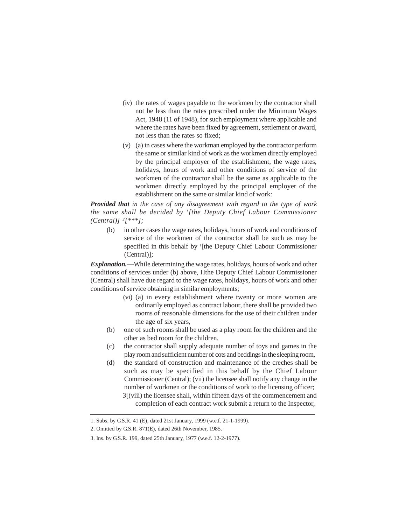- (iv) the rates of wages payable to the workmen by the contractor shall not be less than the rates prescribed under the Minimum Wages Act, 1948 (11 of 1948), for such employment where applicable and where the rates have been fixed by agreement, settlement or award, not less than the rates so fixed;
- (v) (a) in cases where the workman employed by the contractor perform the same or similar kind of work as the workmen directly employed by the principal employer of the establishment, the wage rates, holidays, hours of work and other conditions of service of the workmen of the contractor shall be the same as applicable to the workmen directly employed by the principal employer of the establishment on the same or similar kind of work:

*Provided that in the case of any disagreement with regard to the type of work the same shall be decided by <sup>1</sup> [the Deputy Chief Labour Commissioner (Central)] <sup>2</sup> [\*\*\*];*

(b) in other cases the wage rates, holidays, hours of work and conditions of service of the workmen of the contractor shall be such as may be specified in this behalf by <sup>1</sup>[the Deputy Chief Labour Commissioner (Central)];

*Explanation.—*While determining the wage rates, holidays, hours of work and other conditions of services under (b) above, Hthe Deputy Chief Labour Commissioner (Central) shall have due regard to the wage rates, holidays, hours of work and other conditions of service obtaining in similar employments;

- (vi) (a) in every establishment where twenty or more women are ordinarily employed as contract labour, there shall be provided two rooms of reasonable dimensions for the use of their children under the age of six years,
- (b) one of such rooms shall be used as a play room for the children and the other as bed room for the children,
- (c) the contractor shall supply adequate number of toys and games in the play room and sufficient number of cots and beddings in the sleeping room,
- (d) the standard of construction and maintenance of the creches shall be such as may be specified in this behalf by the Chief Labour Commissioner (Central); (vii) the licensee shall notify any change in the number of workmen or the conditions of work to the licensing officer; 3[(viii) the licensee shall, within fifteen days of the commencement and completion of each contract work submit a return to the Inspector,

<sup>1.</sup> Subs, by G.S.R. 41 (E), dated 21st January, 1999 (w.e.f. 21-1-1999).

<sup>2.</sup> Omitted by G.S.R. 871(E), dated 26th November, 1985.

<sup>3.</sup> Ins. by G.S.R. 199, dated 25th January, 1977 (w.e.f. 12-2-1977).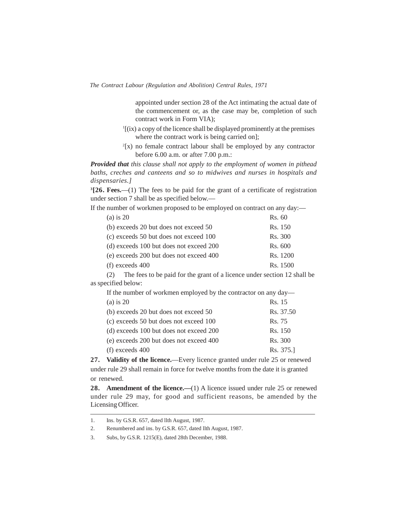appointed under section 28 of the Act intimating the actual date of the commencement or, as the case may be, completion of such contract work in Form VIA);

- 1 [(ix) a copy of the licence shall be displayed prominently at the premises where the contract work is being carried on];
- 2 [x) no female contract labour shall be employed by any contractor before 6.00 a.m. or after 7.00 p.m.:

*Provided that this clause shall not apply to the employment of women in pithead baths, creches and canteens and so to midwives and nurses in hospitals and dispensaries.]*

**3 [26. Fees.**—(1) The fees to be paid for the grant of a certificate of registration under section 7 shall be as specified below.—

If the number of workmen proposed to be employed on contract on any day:—

| (a) is $20$                             | Rs. 60   |
|-----------------------------------------|----------|
| (b) exceeds 20 but does not exceed 50   | Rs. 150  |
| (c) exceeds 50 but does not exceed 100  | Rs. 300  |
| (d) exceeds 100 but does not exceed 200 | Rs. 600  |
| (e) exceeds 200 but does not exceed 400 | Rs. 1200 |
| $(f)$ exceeds 400                       | Rs. 1500 |

(2) The fees to be paid for the grant of a licence under section 12 shall be as specified below:

If the number of workmen employed by the contractor on any day—

| (a) is $20$                             | Rs. 15    |
|-----------------------------------------|-----------|
| (b) exceeds 20 but does not exceed 50   | Rs. 37.50 |
| (c) exceeds 50 but does not exceed 100  | Rs. 75    |
| (d) exceeds 100 but does not exceed 200 | Rs. 150   |
| (e) exceeds 200 but does not exceed 400 | Rs. 300   |
| $(f)$ exceeds 400                       | Rs. 375.  |

**27. Validity of the licence.**—Every licence granted under rule 25 or renewed under rule 29 shall remain in force for twelve months from the date it is granted or renewed.

**28. Amendment of the licence.**—(1) A licence issued under rule 25 or renewed under rule 29 may, for good and sufficient reasons, be amended by the Licensing Officer.

<sup>1.</sup> Ins. by G.S.R. 657, dated llth August, 1987.

<sup>2.</sup> Renumbered and ins. by G.S.R. 657, dated llth August, 1987.

<sup>3.</sup> Subs, by G.S.R. 1215(E), dated 28th December, 1988.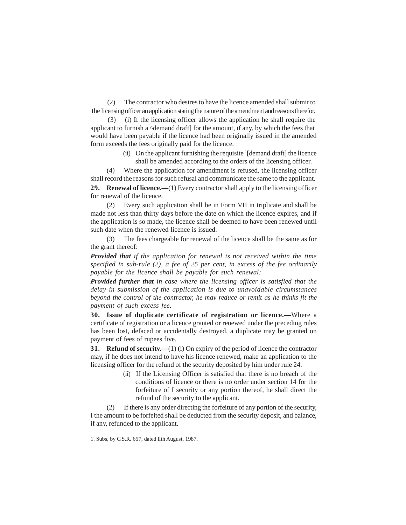(2) The contractor who desires to have the licence amended shall submit to the licensing officer an application stating the nature of the amendment and reasons therefor.

(3) (i) If the licensing officer allows the application he shall require the applicant to furnish a  $\Delta$ demand draft] for the amount, if any, by which the fees that would have been payable if the licence had been originally issued in the amended form exceeds the fees originally paid for the licence.

> (ii) On the applicant furnishing the requisite <sup>1</sup> [demand draft] the licence shall be amended according to the orders of the licensing officer.

(4) Where the application for amendment is refused, the licensing officer shall record the reasons for such refusal and communicate the same to the applicant.

**29. Renewal of licence.—**(1) Every contractor shall apply to the licensing officer for renewal of the licence.

(2) Every such application shall be in Form VII in triplicate and shall be made not less than thirty days before the date on which the licence expires, and if the application is so made, the licence shall be deemed to have been renewed until such date when the renewed licence is issued.

(3) The fees chargeable for renewal of the licence shall be the same as for the grant thereof:

*Provided that if the application for renewal is not received within the time specified in sub-rule (2), a fee of 25 per cent, in excess of the fee ordinarily payable for the licence shall be payable for such renewal:*

*Provided further that in case where the licensing officer is satisfied that the delay in submission of the application is due to unavoidable circumstances beyond the control of the contractor, he may reduce or remit as he thinks fit the payment of such excess fee.*

**30. Issue of duplicate certificate of registration or licence.—**Where a certificate of registration or a licence granted or renewed under the preceding rules has been lost, defaced or accidentally destroyed, a duplicate may be granted on payment of fees of rupees five.

**31. Refund of security.—**(1) (i) On expiry of the period of licence the contractor may, if he does not intend to have his licence renewed, make an application to the licensing officer for the refund of the security deposited by him under rule 24.

> (ii) If the Licensing Officer is satisfied that there is no breach of the conditions of licence or there is no order under section 14 for the forfeiture of I security or any portion thereof, he shall direct the refund of the security to the applicant.

(2) If there is any order directing the forfeiture of any portion of the security, I the amount to be forfeited shall be deducted from the security deposit, and balance, if any, refunded to the applicant.

<sup>1.</sup> Subs, by G.S.R. 657, dated llth August, 1987.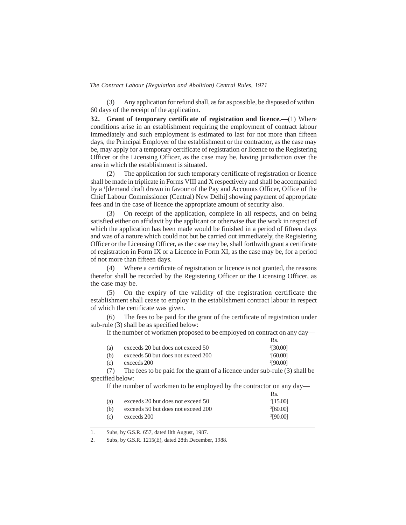(3) Any application for refund shall, as far as possible, be disposed of within 60 days of the receipt of the application.

**32. Grant of temporary certificate of registration and licence.—**(1) Where conditions arise in an establishment requiring the employment of contract labour immediately and such employment is estimated to last for not more than fifteen days, the Principal Employer of the establishment or the contractor, as the case may be, may apply for a temporary certificate of registration or licence to the Registering Officer or the Licensing Officer, as the case may be, having jurisdiction over the area in which the establishment is situated.

(2) The application for such temporary certificate of registration or licence shall be made in triplicate in Forms VIII and X respectively and shall be accompanied by a <sup>1</sup>[demand draft drawn in favour of the Pay and Accounts Officer, Office of the Chief Labour Commissioner (Central) New Delhi] showing payment of appropriate fees and in the case of licence the appropriate amount of security also.

(3) On receipt of the application, complete in all respects, and on being satisfied either on affidavit by the applicant or otherwise that the work in respect of which the application has been made would be finished in a period of fifteen days and was of a nature which could not but be carried out immediately, the Registering Officer or the Licensing Officer, as the case may be, shall forthwith grant a certificate of registration in Form IX or a Licence in Form XI, as the case may be, for a period of not more than fifteen days.

(4) Where a certificate of registration or licence is not granted, the reasons therefor shall be recorded by the Registering Officer or the Licensing Officer, as the case may be.

(5) On the expiry of the validity of the registration certificate the establishment shall cease to employ in the establishment contract labour in respect of which the certificate was given.

(6) The fees to be paid for the grant of the certificate of registration under sub-rule (3) shall be as specified below:

If the number of workmen proposed to be employed on contract on any day—

|     |                                    | Rs.           |
|-----|------------------------------------|---------------|
| (a) | exceeds 20 but does not exceed 50  | $^{2}[30.00]$ |
| (b) | exceeds 50 but does not exceed 200 | $^{2}[60.00]$ |
| (c) | exceeds 200                        | 2[90.00]      |

(7) The fees to be paid for the grant of a licence under sub-rule (3) shall be specified below:

If the number of workmen to be employed by the contractor on any day—

|     |                                    | Rs.           |
|-----|------------------------------------|---------------|
| (a) | exceeds 20 but does not exceed 50  | 2[15.00]      |
| (b) | exceeds 50 but does not exceed 200 | $^{2}[60.00]$ |
| (c) | exceeds 200                        | 2[90.00]      |

1. Subs, by G.S.R. 657, dated llth August, 1987.

2. Subs, by G.S.R. 1215(E), dated 28th December, 1988.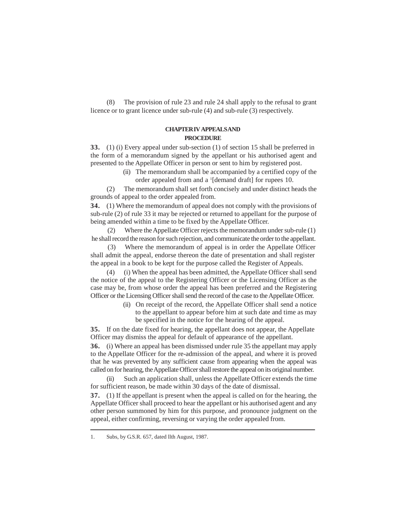(8) The provision of rule 23 and rule 24 shall apply to the refusal to grant licence or to grant licence under sub-rule (4) and sub-rule (3) respectively.

### **CHAPTER IV APPEALSAND PROCEDURE**

**33.** (1) (i) Every appeal under sub-section (1) of section 15 shall be preferred in the form of a memorandum signed by the appellant or his authorised agent and presented to the Appellate Officer in person or sent to him by registered post.

> (ii) The memorandum shall be accompanied by a certified copy of the order appealed from and a <sup>1</sup> [demand draft] for rupees 10.

(2) The memorandum shall set forth concisely and under distinct heads the grounds of appeal to the order appealed from.

**34.** (1) Where the memorandum of appeal does not comply with the provisions of sub-rule (2) of rule 33 it may be rejected or returned to appellant for the purpose of being amended within a time to be fixed by the Appellate Officer.

(2) Where the Appellate Officer rejects the memorandum under sub-rule (1) he shall record the reason for such rejection, and communicate the order to the appellant.

(3) Where the memorandum of appeal is in order the Appellate Officer shall admit the appeal, endorse thereon the date of presentation and shall register the appeal in a book to be kept for the purpose called the Register of Appeals.

(4) (i) When the appeal has been admitted, the Appellate Officer shall send the notice of the appeal to the Registering Officer or the Licensing Officer as the case may be, from whose order the appeal has been preferred and the Registering Officer or the Licensing Officer shall send the record of the case to the Appellate Officer.

> (ii) On receipt of the record, the Appellate Officer shall send a notice to the appellant to appear before him at such date and time as may be specified in the notice for the hearing of the appeal.

**35.** If on the date fixed for hearing, the appellant does not appear, the Appellate Officer may dismiss the appeal for default of appearance of the appellant.

**36.** (i) Where an appeal has been dismissed under rule 35 the appellant may apply to the Appellate Officer for the re-admission of the appeal, and where it is proved that he was prevented by any sufficient cause from appearing when the appeal was called on for hearing, the Appellate Officer shall restore the appeal on its original number.

(ii) Such an application shall, unless the Appellate Officer extends the time for sufficient reason, be made within 30 days of the date of dismissal.

**37.** (1) If the appellant is present when the appeal is called on for the hearing, the Appellate Officer shall proceed to hear the appellant or his authorised agent and any other person summoned by him for this purpose, and pronounce judgment on the appeal, either confirming, reversing or varying the order appealed from.

<sup>1.</sup> Subs, by G.S.R. 657, dated llth August, 1987.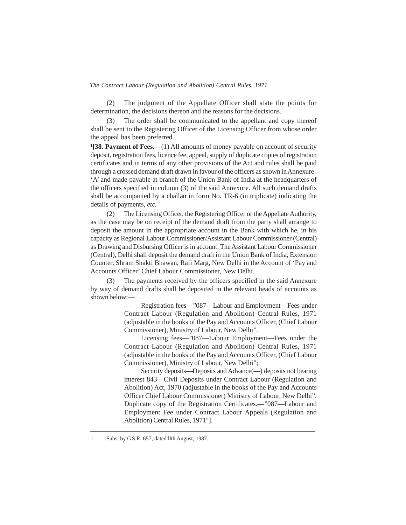(2) The judgment of the Appellate Officer shall state the points for determination, the decisions thereon and the reasons for the decisions.

The order shall be communicated to the appellant and copy thereof shall be sent to the Registering Officer of the Licensing Officer from whose order the appeal has been preferred.

**1 [38. Payment of Fees.**—(1) All amounts of money payable on account of security deposit, registration fees, licence fee, appeal, supply of duplicate copies of registration certificates and in terms of any other provisions of the Act and rules shall be paid through a crossed demand draft drawn in favour of the officers as shown in Annexure 'A' and made payable at branch of the Union Bank of India at the headquarters of the officers specified in column (3) of the said Annexure. All such demand drafts shall be accompanied by a challan in form No. TR-6 (in triplicate) indicating the details of payments, *etc.*

(2) The Licensing Officer, the Registering Officer or the Appellate Authority, as the case may be on receipt of the demand draft from the party shall arrange to deposit the amount in the appropriate account in the Bank with which he, in his capacity as Regional Labour Commissioner/Assistant Labour Commissioner (Central) as Drawing and Disbursing Officer is in account. The Assistant Labour Commissioner (Central), Delhi shall deposit the demand draft in the Union Bank of India, Extension Counter, Shram Shakti Bhawan, Rafi Marg, New Delhi in the Account of 'Pay and Accounts Officer' Chief Labour Commissioner, New Delhi.

(3) The payments received by the officers specified in the said Annexure by way of demand drafts shall be deposited in the relevant heads of accounts as shown below:—

> Registration fees—"087—Labour and Employment—Fees under Contract Labour (Regulation and Abolition) Central Rules, 1971 (adjustable in the books of the Pay and Accounts Officer, (Chief Labour Commissioner), Ministry of Labour, New Delhi".

> Licensing fees—"087—Labour Employment—Fees under the Contract Labour (Regulation and Abolition) Central Rules, 1971 (adjustable in the books of the Pay and Accounts Officer, (Chief Labour Commissioner), Ministry of Labour, New Delhi";

> Security deposits—Deposits and Advance(—) deposits not bearing interest 843—Civil Deposits under Contract Labour (Regulation and Abolition) Act, 1970 (adjustable in the books of the Pay and Accounts Officer Chief Labour Commissioner) Ministry of Labour, New Delhi". Duplicate copy of the Registration Certificates.—"087—Labour and Employment Fee under Contract Labour Appeals (Regulation and Abolition) Central Rules, 1971"].

<sup>1.</sup> Subs, by G.S.R. 657, dated llth August, 1987.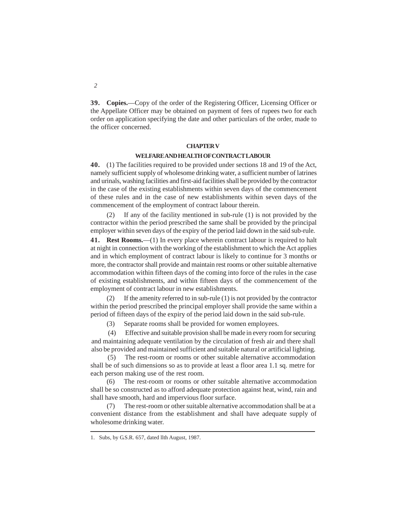**39. Copies.**—Copy of the order of the Registering Officer, Licensing Officer or the Appellate Officer may be obtained on payment of fees of rupees two for each order on application specifying the date and other particulars of the order, made to the officer concerned.

#### **CHAPTER V**

#### **WELFAREAND HEALTH OFCONTRACT LABOUR**

**40.** (1) The facilities required to be provided under sections 18 and 19 of the Act, namely sufficient supply of wholesome drinking water, a sufficient number of latrines and urinals, washing facilities and first-aid facilities shall be provided by the contractor in the case of the existing establishments within seven days of the commencement of these rules and in the case of new establishments within seven days of the commencement of the employment of contract labour therein.

(2) If any of the facility mentioned in sub-rule (1) is not provided by the contractor within the period prescribed the same shall be provided by the principal employer within seven days of the expiry of the period laid down in the said sub-rule.

41. Rest Rooms.—(1) In every place wherein contract labour is required to halt at night in connection with the working of the establishment to which the Act applies and in which employment of contract labour is likely to continue for 3 months or more, the contractor shall provide and maintain rest rooms or other suitable alternative accommodation within fifteen days of the coming into force of the rules in the case of existing establishments, and within fifteen days of the commencement of the employment of contract labour in new establishments.

(2) If the amenity referred to in sub-rule (1) is not provided by the contractor within the period prescribed the principal employer shall provide the same within a period of fifteen days of the expiry of the period laid down in the said sub-rule.

(3) Separate rooms shall be provided for women employees.

(4) Effective and suitable provision shall be made in every room for securing and maintaining adequate ventilation by the circulation of fresh air and there shall also be provided and maintained sufficient and suitable natural or artificial lighting.

(5) The rest-room or rooms or other suitable alternative accommodation shall be of such dimensions so as to provide at least a floor area 1.1 sq. metre for each person making use of the rest room.

(6) The rest-room or rooms or other suitable alternative accommodation shall be so constructed as to afford adequate protection against heat, wind, rain and shall have smooth, hard and impervious floor surface.

(7) The rest-room or other suitable alternative accommodation shall be at a convenient distance from the establishment and shall have adequate supply of wholesome drinking water.

<sup>1.</sup> Subs, by G.S.R. 657, dated llth August, 1987.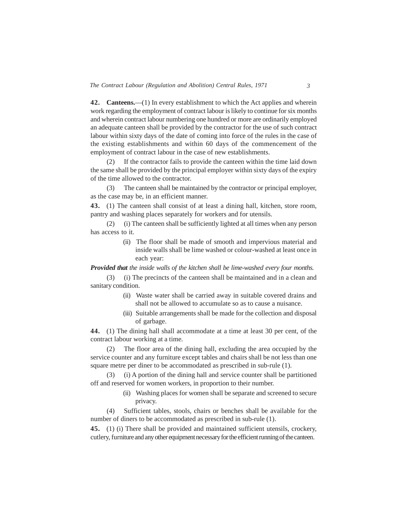**42. Canteens.**—(1) In every establishment to which the Act applies and wherein work regarding the employment of contract labour is likely to continue for six months and wherein contract labour numbering one hundred or more are ordinarily employed an adequate canteen shall be provided by the contractor for the use of such contract labour within sixty days of the date of coming into force of the rules in the case of the existing establishments and within 60 days of the commencement of the employment of contract labour in the case of new establishments.

(2) If the contractor fails to provide the canteen within the time laid down the same shall be provided by the principal employer within sixty days of the expiry of the time allowed to the contractor.

(3) The canteen shall be maintained by the contractor or principal employer, as the case may be, in an efficient manner.

**43.** (1) The canteen shall consist of at least a dining hall, kitchen, store room, pantry and washing places separately for workers and for utensils.

(2) (i) The canteen shall be sufficiently lighted at all times when any person has access to it.

> (ii) The floor shall be made of smooth and impervious material and inside walls shall be lime washed or colour-washed at least once in each year:

*Provided that the inside walls of the kitchen shall be lime-washed every four months.*

(3) (i) The precincts of the canteen shall be maintained and in a clean and sanitary condition.

- (ii) Waste water shall be carried away in suitable covered drains and shall not be allowed to accumulate so as to cause a nuisance.
- (iii) Suitable arrangements shall be made for the collection and disposal of garbage.

**44.** (1) The dining hall shall accommodate at a time at least 30 per cent, of the contract labour working at a time.

(2) The floor area of the dining hall, excluding the area occupied by the service counter and any furniture except tables and chairs shall be not less than one square metre per diner to be accommodated as prescribed in sub-rule (1).

(3) (i) A portion of the dining hall and service counter shall be partitioned off and reserved for women workers, in proportion to their number.

> (ii) Washing places for women shall be separate and screened to secure privacy.

(4) Sufficient tables, stools, chairs or benches shall be available for the number of diners to be accommodated as prescribed in sub-rule (1).

**45.** (1) (i) There shall be provided and maintained sufficient utensils, crockery, cutlery, furniture and any other equipment necessary for the efficient running of the canteen.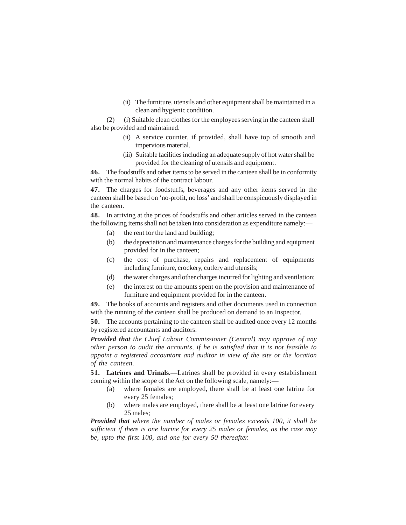(ii) The furniture, utensils and other equipment shall be maintained in a clean and hygienic condition.

(2) (i) Suitable clean clothes for the employees serving in the canteen shall also be provided and maintained.

- (ii) A service counter, if provided, shall have top of smooth and impervious material.
- (iii) Suitable facilities including an adequate supply of hot water shall be provided for the cleaning of utensils and equipment.

**46.** The foodstuffs and other items to be served in the canteen shall be in conformity with the normal habits of the contract labour.

**47.** The charges for foodstuffs, beverages and any other items served in the canteen shall be based on 'no-profit, no loss' and shall be conspicuously displayed in the canteen.

**48.** In arriving at the prices of foodstuffs and other articles served in the canteen the following items shall not be taken into consideration as expenditure namely:—

- (a) the rent for the land and building;
- (b) the depreciation and maintenance charges for the building and equipment provided for in the canteen;
- (c) the cost of purchase, repairs and replacement of equipments including furniture, crockery, cutlery and utensils;
- (d) the water charges and other charges incurred for lighting and ventilation;
- (e) the interest on the amounts spent on the provision and maintenance of furniture and equipment provided for in the canteen.

**49.** The books of accounts and registers and other documents used in connection with the running of the canteen shall be produced on demand to an Inspector.

**50.** The accounts pertaining to the canteen shall be audited once every 12 months by registered accountants and auditors:

*Provided that the Chief Labour Commissioner (Central) may approve of any other person to audit the accounts, if he is satisfied that it is not feasible to appoint a registered accountant and auditor in view of the site or the location of the canteen.*

**51. Latrines and Urinals.—**Latrines shall be provided in every establishment coming within the scope of the Act on the following scale, namely:—

- (a) where females are employed, there shall be at least one latrine for every 25 females;
- (b) where males are employed, there shall be at least one latrine for every 25 males;

*Provided that where the number of males or females exceeds 100, it shall be sufficient if there is one latrine for every 25 males or females, as the case may be, upto the first 100, and one for every 50 thereafter.*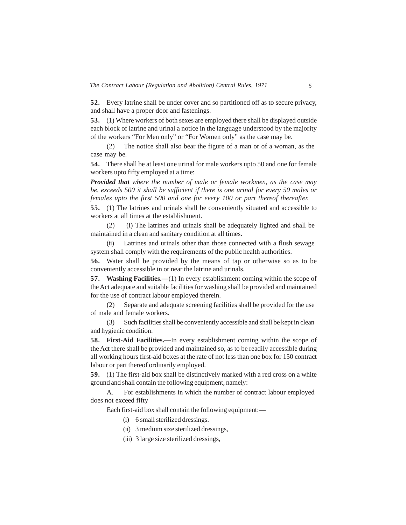**52.** Every latrine shall be under cover and so partitioned off as to secure privacy, and shall have a proper door and fastenings.

**53.** (1) Where workers of both sexes are employed there shall be displayed outside each block of latrine and urinal a notice in the language understood by the majority of the workers "For Men only" or "For Women only" as the case may be.

(2) The notice shall also bear the figure of a man or of a woman, as the case may be.

**54.** There shall be at least one urinal for male workers upto 50 and one for female workers upto fifty employed at a time:

*Provided that where the number of male or female workmen, as the case may be, exceeds 500 it shall be sufficient if there is one urinal for every 50 males or females upto the first 500 and one for every 100 or part thereof thereafter.*

**55.** (1) The latrines and urinals shall be conveniently situated and accessible to workers at all times at the establishment.

(2) (i) The latrines and urinals shall be adequately lighted and shall be maintained in a clean and sanitary condition at all times.

Latrines and urinals other than those connected with a flush sewage system shall comply with the requirements of the public health authorities.

**56.** Water shall be provided by the means of tap or otherwise so as to be conveniently accessible in or near the latrine and urinals.

**57. Washing Facilities.—**(1) In every establishment coming within the scope of the Act adequate and suitable facilities for washing shall be provided and maintained for the use of contract labour employed therein.

(2) Separate and adequate screening facilities shall be provided for the use of male and female workers.

(3) Such facilities shall be conveniently accessible and shall be kept in clean and hygienic condition.

**58. First-Aid Facilities.—**In every establishment coming within the scope of the Act there shall be provided and maintained so, as to be readily accessible during all working hours first-aid boxes at the rate of not less than one box for 150 contract labour or part thereof ordinarily employed.

**59.** (1) The first-aid box shall be distinctively marked with a red cross on a white ground and shall contain the following equipment, namely:—

A. For establishments in which the number of contract labour employed does not exceed fifty—

Each first-aid box shall contain the following equipment:—

- (i) 6 small sterilized dressings.
- (ii) 3 medium size sterilized dressings,
- (iii) 3 large size sterilized dressings,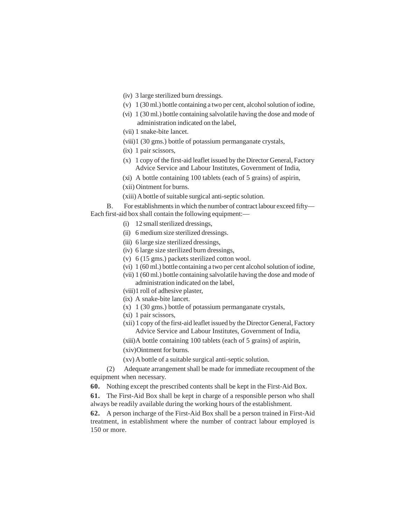- (iv) 3 large sterilized burn dressings.
- (v) 1 (30 ml.) bottle containing a two per cent, alcohol solution of iodine,
- (vi) 1 (30 ml.) bottle containing salvolatile having the dose and mode of administration indicated on the label,
- (vii) 1 snake-bite lancet.
- (viii)1 (30 gms.) bottle of potassium permanganate crystals,
- (ix) 1 pair scissors,
- (x) 1 copy of the first-aid leaflet issued by the Director General, Factory Advice Service and Labour Institutes, Government of India,
- (xi) A bottle containing 100 tablets (each of 5 grains) of aspirin,
- (xii) Ointment for burns.
- (xiii) A bottle of suitable surgical anti-septic solution.

B. For establishments in which the number of contract labour exceed fifty— Each first-aid box shall contain the following equipment:—

- (i) 12 small sterilized dressings,
- (ii) 6 medium size sterilized dressings.
- (iii) 6 large size sterilized dressings,
- (iv) 6 large size sterilized burn dressings,
- (v) 6 (15 gms.) packets sterilized cotton wool.
- (vi) 1 (60 ml.) bottle containing a two per cent alcohol solution of iodine,
- (vii) 1 (60 ml.) bottle containing salvolatile having the dose and mode of administration indicated on the label,
- (viii)1 roll of adhesive plaster,
- (ix) A snake-bite lancet.
- (x) 1 (30 gms.) bottle of potassium permanganate crystals,
- (xi) 1 pair scissors,
- (xii) 1 copy of the first-aid leaflet issued by the Director General, Factory Advice Service and Labour Institutes, Government of India,
- (xiii)A bottle containing 100 tablets (each of 5 grains) of aspirin,

(xiv)Ointment for burns.

(xv) A bottle of a suitable surgical anti-septic solution.

(2) Adequate arrangement shall be made for immediate recoupment of the equipment when necessary.

**60.** Nothing except the prescribed contents shall be kept in the First-Aid Box.

**61.** The First-Aid Box shall be kept in charge of a responsible person who shall always be readily available during the working hours of the establishment.

**62.** A person incharge of the First-Aid Box shall be a person trained in First-Aid treatment, in establishment where the number of contract labour employed is 150 or more.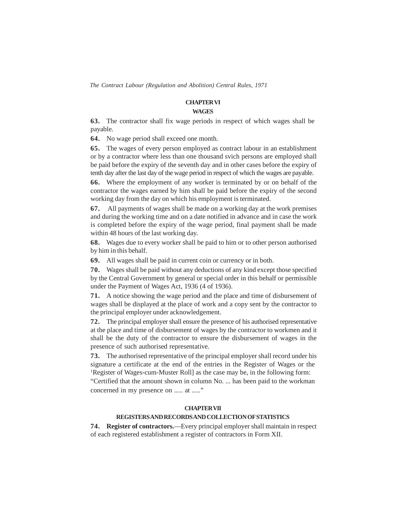#### **CHAPTER VI**

#### **WAGES**

**63.** The contractor shall fix wage periods in respect of which wages shall be payable.

**64.** No wage period shall exceed one month.

**65.** The wages of every person employed as contract labour in an establishment or by a contractor where less than one thousand svich persons are employed shall be paid before the expiry of the seventh day and in other cases before the expiry of tenth day after the last day of the wage period in respect of which the wages are payable.

**66.** Where the employment of any worker is terminated by or on behalf of the contractor the wages earned by him shall be paid before the expiry of the second working day from the day on which his employment is terminated.

**67.** All payments of wages shall be made on a working day at the work premises and during the working time and on a date notified in advance and in case the work is completed before the expiry of the wage period, final payment shall be made within 48 hours of the last working day.

**68.** Wages due to every worker shall be paid to him or to other person authorised by him in this behalf.

**69.** All wages shall be paid in current coin or currency or in both.

**70.** Wages shall be paid without any deductions of any kind except those specified by the Central Government by general or special order in this behalf or permissible under the Payment of Wages Act, 1936 (4 of 1936).

**71.** A notice showing the wage period and the place and time of disbursement of wages shall be displayed at the place of work and a copy sent by the contractor to the principal employer under acknowledgement.

**72.** The principal employer shall ensure the presence of his authorised representative at the place and time of disbursement of wages by the contractor to workmen and it shall be the duty of the contractor to ensure the disbursement of wages in the presence of such authorised representative.

**73.** The authorised representative of the principal employer shall record under his signature a certificate at the end of the entries in the Register of Wages or the <sup>1</sup>Register of Wages-cum-Muster Roll] as the case may be, in the following form:

"Certified that the amount shown in column No. ... has been paid to the workman concerned in my presence on ..... at ....."

### **CHAPTERVII**

### **REGISTERSAND RECORDSAND COLLECTION OF STATISTICS**

**74. Register of contractors.**—Every principal employer shall maintain in respect of each registered establishment a register of contractors in Form XII.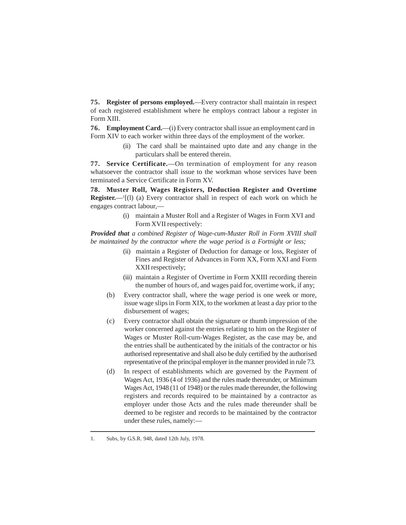**75. Register of persons employed.**—Every contractor shall maintain in respect of each registered establishment where he employs contract labour a register in Form XIII.

**76. Employment Card.**—(i) Every contractor shall issue an employment card in Form XIV to each worker within three days of the employment of the worker.

> (ii) The card shall be maintained upto date and any change in the particulars shall be entered therein.

**77. Service Certificate.**—On termination of employment for any reason whatsoever the contractor shall issue to the workman whose services have been terminated a Service Certificate in Form XV.

**78. Muster Roll, Wages Registers, Deduction Register and Overtime Register.**—<sup>1</sup>[(1) (a) Every contractor shall in respect of each work on which he engages contract labour,—

> (i) maintain a Muster Roll and a Register of Wages in Form XVI and Form XVII respectively:

*Provided that a combined Register of Wage-cum-Muster Roll in Form XVIII shall be maintained by the contractor where the wage period is a Fortnight or less;*

- (ii) maintain a Register of Deduction for damage or loss, Register of Fines and Register of Advances in Form XX, Form XXI and Form XXII respectively;
- (iii) maintain a Register of Overtime in Form XXIII recording therein the number of hours of, and wages paid for, overtime work, if any;
- (b) Every contractor shall, where the wage period is one week or more, issue wage slips in Form XIX, to the workmen at least a day prior to the disbursement of wages;
- (c) Every contractor shall obtain the signature or thumb impression of the worker concerned against the entries relating to him on the Register of Wages or Muster Roll-cum-Wages Register, as the case may be, and the entries shall be authenticated by the initials of the contractor or his authorised representative and shall also be duly certified by the authorised representative of the principal employer in the manner provided in rule 73.
- (d) In respect of establishments which are governed by the Payment of Wages Act, 1936 (4 of 1936) and the rules made thereunder, or Minimum Wages Act, 1948 (11 of 1948) or the rules made thereunder, the following registers and records required to be maintained by a contractor as employer under those Acts and the rules made thereunder shall be deemed to be register and records to be maintained by the contractor under these rules, namely:—

<sup>1.</sup> Subs, by G.S.R. 948, dated 12th July, 1978.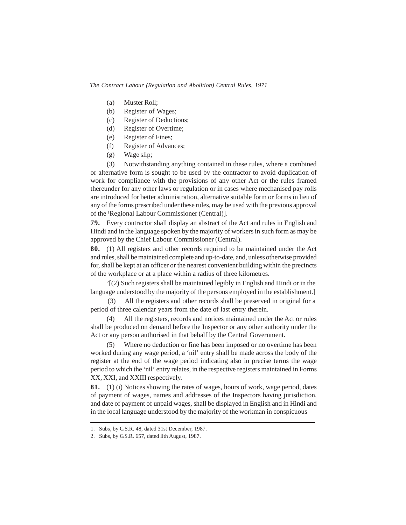- (a) Muster Roll;
- (b) Register of Wages;
- (c) Register of Deductions;
- (d) Register of Overtime;
- (e) Register of Fines;
- (f) Register of Advances;
- (g) Wage slip;

(3) Notwithstanding anything contained in these rules, where a combined or alternative form is sought to be used by the contractor to avoid duplication of work for compliance with the provisions of any other Act or the rules framed thereunder for any other laws or regulation or in cases where mechanised pay rolls are introduced for better administration, alternative suitable form or forms in lieu of any of the forms prescribed under these rules, may be used with the previous approval of the 1Regional Labour Commissioner (Central)].

**79.** Every contractor shall display an abstract of the Act and rules in English and Hindi and in the language spoken by the majority of workers in such form as may be approved by the Chief Labour Commissioner (Central).

**80.** (1) All registers and other records required to be maintained under the Act and rules, shall be maintained complete and up-to-date, and, unless otherwise provided for, shall be kept at an officer or the nearest convenient building within the precincts of the workplace or at a place within a radius of three kilometres.

2 [(2) Such registers shall be maintained legibly in English and Hindi or in the language understood by the majority of the persons employed in the establishment.]

(3) All the registers and other records shall be preserved in original for a period of three calendar years from the date of last entry therein.

(4) All the registers, records and notices maintained under the Act or rules shall be produced on demand before the Inspector or any other authority under the Act or any person authorised in that behalf by the Central Government.

Where no deduction or fine has been imposed or no overtime has been worked during any wage period, a 'nil' entry shall be made across the body of the register at the end of the wage period indicating also in precise terms the wage period to which the 'nil' entry relates, in the respective registers maintained in Forms XX, XXI, and XXIII respectively.

**81.** (1) (i) Notices showing the rates of wages, hours of work, wage period, dates of payment of wages, names and addresses of the Inspectors having jurisdiction, and date of payment of unpaid wages, shall be displayed in English and in Hindi and in the local language understood by the majority of the workman in conspicuous

<sup>1.</sup> Subs, by G.S.R. 48, dated 31st December, 1987.

<sup>2.</sup> Subs, by G.S.R. 657, dated llth August, 1987.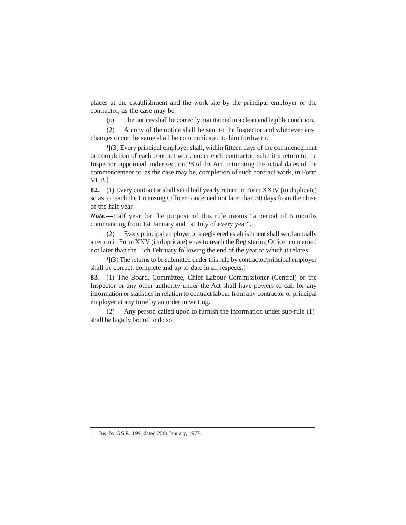places at the establishment and the work-site by the principal employer or the contractor, as the case may be.

(ii) The notices shall be correctly maintained in a clean and legible condition.

(2) A copy of the notice shall be sent to the Inspector and whenever any changes occur the same shall be communicated to him forthwith.

1 [(3) Every principal employer shall, within fifteen days of the commencement or completion of each contract work under each contractor, submit a return to the Inspector, appointed under section 28 of the Act, intimating the actual dates of the commencement or, as the case may be, completion of such contract work, in Form VI B.]

**82.** (1) Every contractor shall send half yearly return in Form XXIV (in duplicate) so as to reach the Licensing Officer concerned not later than 30 days from the close of the half year.

*Note.—*Half year for the purpose of this rule means "a period of 6 months commencing from 1st January and 1st July of every year".

Every principal employer of a registered establishment shall send annually a return in Form XXV (in duplicate) so as to reach the Registering Officer concerned not later than the 15th February following the end of the year to which it relates.

1 [(3) The returns to be submitted under this rule by contractor/principal employer shall be correct, complete and up-to-date in all respects.]

**83.** (1) The Board, Committee, Chief Labour Commissioner (Central) or the Inspector or any other authority under the Act shall have powers to call for any information or statistics in relation to contract labour from any contractor or principal employer at any time by an order in writing.

(2) Any person called upon to furnish the information under sub-rule (1) shall be legally bound to do so.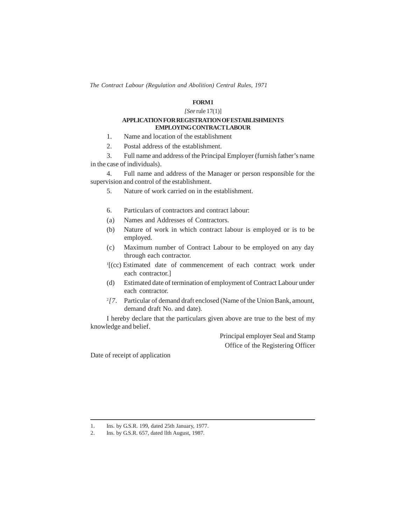### **FORMI**

#### *[See* rule 17(1)]

#### **APPLICATION FOR REGISTRATION OFESTABLISHMENTS EMPLOYING CONTRACT LABOUR**

- 1. Name and location of the establishment
- 2. Postal address of the establishment.

3. Full name and address of the Principal Employer (furnish father's name in the case of individuals).

4. Full name and address of the Manager or person responsible for the supervision and control of the establishment.

- 5. Nature of work carried on in the establishment.
- 6. Particulars of contractors and contract labour:
- (a) Names and Addresses of Contractors.
- (b) Nature of work in which contract labour is employed or is to be employed.
- (c) Maximum number of Contract Labour to be employed on any day through each contractor.
- 1 [(cc) Estimated date of commencement of each contract work under each contractor.]
- (d) Estimated date of termination of employment of Contract Labour under each contractor.
- <sup>2</sup>[7. Particular of demand draft enclosed (Name of the Union Bank, amount, demand draft No. and date).

I hereby declare that the particulars given above are true to the best of my knowledge and belief.

> Principal employer Seal and Stamp Office of the Registering Officer

Date of receipt of application

<sup>1.</sup> Ins. by G.S.R. 199, dated 25th January, 1977.

<sup>2.</sup> Ins. by G.S.R. 657, dated llth August, 1987.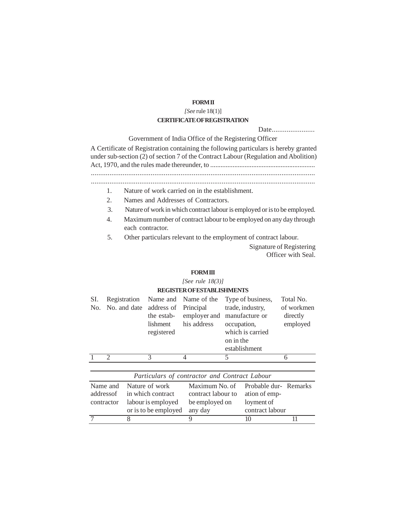### **FORMII**

#### *[See* rule 18(1)]

### **CERTIFICATE OFREGISTRATION**

Date..........................

Government of India Office of the Registering Officer

A Certificate of Registration containing the following particulars is hereby granted under sub-section (2) of section 7 of the Contract Labour (Regulation and Abolition) Act, 1970, and the rules made thereunder, to ............................................................. ........................................................................................................................

........................................................................................................................

- 1. Nature of work carried on in the establishment.
- 2. Names and Addresses of Contractors.
- 3. Nature of work in which contract labour is employed or is to be employed.
- 4. Maximum number of contract labour to be employed on any day through each contractor.

5. Other particulars relevant to the employment of contract labour.

Signature of Registering Officer with Seal.

#### **FORMIII**

*[See rule 18(3)]*

#### **REGISTER OFESTABLISHMENTS**

| SI.<br>No.     |                                     | Registration<br>No. and date | Name and<br>address of<br>the estab-<br>lishment<br>registered                    |   | Name of the<br>Principal<br>employer and<br>his address           | occupation,<br>on in the | Type of business,<br>trade, industry,<br>manufacture or<br>which is carried<br>establishment | Total No.<br>of workmen<br>directly<br>employed |
|----------------|-------------------------------------|------------------------------|-----------------------------------------------------------------------------------|---|-------------------------------------------------------------------|--------------------------|----------------------------------------------------------------------------------------------|-------------------------------------------------|
|                | 2                                   |                              | 3                                                                                 | 4 |                                                                   | 5                        |                                                                                              | 6                                               |
|                |                                     |                              |                                                                                   |   |                                                                   |                          |                                                                                              |                                                 |
|                |                                     |                              | Particulars of contractor and Contract Labour                                     |   |                                                                   |                          |                                                                                              |                                                 |
|                | Name and<br>addressof<br>contractor |                              | Nature of work<br>in which contract<br>labour is employed<br>or is to be employed |   | Maximum No. of<br>contract labour to<br>be employed on<br>any day |                          | ation of emp-<br>loyment of<br>contract labour                                               | Probable dur-Remarks                            |
| $\overline{7}$ |                                     | 8                            |                                                                                   | 9 |                                                                   |                          | 10                                                                                           | 11                                              |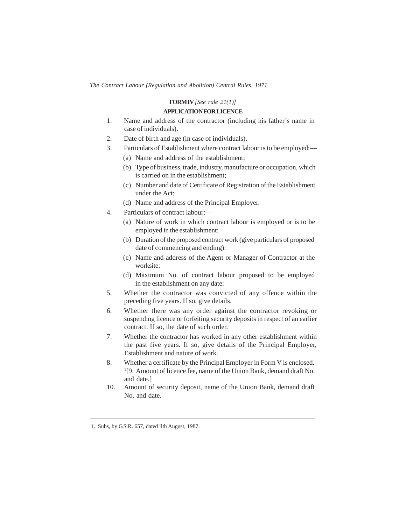### **FORMIV** *[See rule 21(1)]*  **APPLICATION FOR LICENCE**

- 1. Name and address of the contractor (including his father's name in case of individuals).
- 2. Date of birth and age (in case of individuals).
- 3. Particulars of Establishment where contract labour is to be employed:—
	- (a) Name and address of the establishment;
	- (b) Type of business, trade, industry, manufacture or occupation, which is carried on in the establishment;
	- (c) Number and date of Certificate of Registration of the Establishment under the Act;
	- (d) Name and address of the Principal Employer.
- 4. Particulars of contract labour:—
	- (a) Nature of work in which contract labour is employed or is to be employed in the establishment:
	- (b) Duration of the proposed contract work (give particulars of proposed date of commencing and ending):
	- (c) Name and address of the Agent or Manager of Contractor at the worksite:
	- (d) Maximum No. of contract labour proposed to be employed in the establishment on any date:
- 5. Whether the contractor was convicted of any offence within the preceding five years. If so, give details.
- 6. Whether there was any order against the contractor revoking or suspending licence or forfeiting security deposits in respect of an earlier contract. If so, the date of such order.
- 7. Whether the contractor has worked in any other establishment within the past five years. If so, give details of the Principal Employer, Establishment and nature of work.
- 8. Whether a certificate by the Principal Employer in Form V is enclosed. 1 [9. Amount of licence fee, name of the Union Bank, demand draft No. and date.]
- 10. Amount of security deposit, name of the Union Bank, demand draft No. and date.

<sup>1.</sup> Subs, by G.S.R. 657, dated llth August, 1987.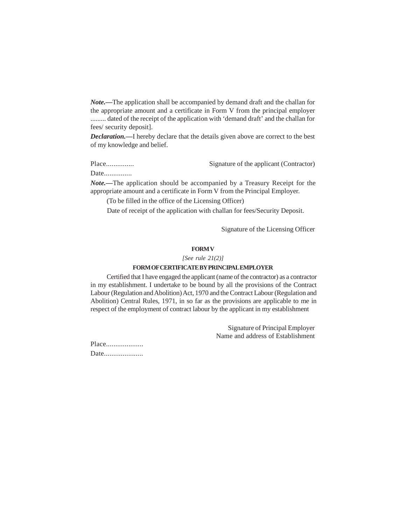*Note.—*The application shall be accompanied by demand draft and the challan for the appropriate amount and a certificate in Form V from the principal employer ......... dated of the receipt of the application with 'demand draft' and the challan for fees/ security deposit].

*Declaration.—*I hereby declare that the details given above are correct to the best of my knowledge and belief.

Place............... Signature of the applicant (Contractor)

Date................

*Note.—*The application should be accompanied by a Treasury Receipt for the appropriate amount and a certificate in Form V from the Principal Employer.

(To be filled in the office of the Licensing Officer)

Date of receipt of the application with challan for fees/Security Deposit.

Signature of the Licensing Officer

### **FORM V**

*[See rule 21(2)]*

#### **FORM OFCERTIFICATE BYPRINCIPALEMPLOYER**

Certified that I have engaged the applicant (name of the contractor) as a contractor in my establishment. I undertake to be bound by all the provisions of the Contract Labour (Regulation and Abolition) Act, 1970 and the Contract Labour (Regulation and Abolition) Central Rules, 1971, in so far as the provisions are applicable to me in respect of the employment of contract labour by the applicant in my establishment

> Signature of Principal Employer Name and address of Establishment

Place.................... Date......................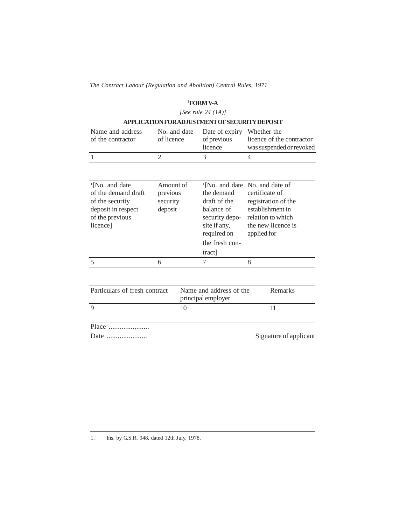### **<sup>1</sup>FORM V-A**

### *[See rule 24 (1A)]*

| APPLICATION FOR ADJUSTMENT OF SECURITY DEPOSIT |            |                                                                   |                                                       |  |  |  |
|------------------------------------------------|------------|-------------------------------------------------------------------|-------------------------------------------------------|--|--|--|
| Name and address<br>of the contractor          | of licence | No. and date Date of expiry Whether the<br>of previous<br>licence | licence of the contractor<br>was suspended or revoked |  |  |  |
|                                                |            |                                                                   |                                                       |  |  |  |

| <sup>1</sup> [No. and date<br>of the demand draft<br>of the security<br>deposit in respect<br>of the previous<br>licence] | Amount of<br>previous<br>security<br>deposit |    | <sup>1</sup> [No. and date No. and date of<br>the demand<br>draft of the<br>balance of<br>security depo-<br>site if any,<br>required on<br>the fresh con-<br>tract] | certificate of<br>applied for | registration of the<br>establishment in<br>relation to which<br>the new licence is |
|---------------------------------------------------------------------------------------------------------------------------|----------------------------------------------|----|---------------------------------------------------------------------------------------------------------------------------------------------------------------------|-------------------------------|------------------------------------------------------------------------------------|
| $\overline{\phantom{1}}$                                                                                                  | 6                                            |    | 7                                                                                                                                                                   | 8                             |                                                                                    |
| Particulars of fresh contract                                                                                             |                                              |    | Name and address of the<br>principal employer                                                                                                                       |                               | Remarks                                                                            |
| $\mathbf Q$                                                                                                               |                                              | 10 |                                                                                                                                                                     |                               | 11                                                                                 |
|                                                                                                                           |                                              |    |                                                                                                                                                                     |                               |                                                                                    |

Place ......................

Date ...................... Signature of applicant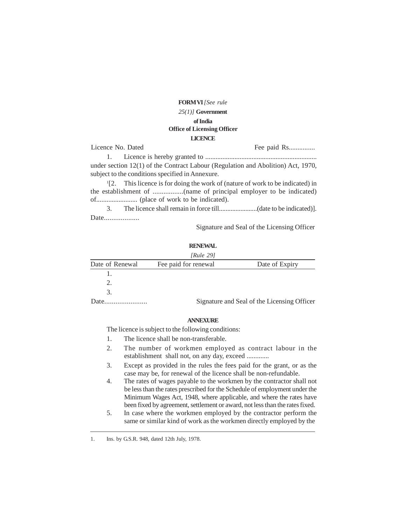**FORMVI** *[See rule* 

### *25(1)]* **Government of India Office of Licensing Officer LICENCE**

Licence No. Dated Fee paid Rs............... 1. Licence is hereby granted to ................................................................. under section 12(1) of the Contract Labour (Regulation and Abolition) Act, 1970, subject to the conditions specified in Annexure.

1 [2. This licence is for doing the work of (nature of work to be indicated) in the establishment of .................(name of principal employer to be indicated) of........................ (place of work to be indicated).

3. The licence shall remain in force till.......................(date to be indicated)]. Date....................

Signature and Seal of the Licensing Officer

### **RENEWAL**

|                 | [Rule 29]            |                                             |
|-----------------|----------------------|---------------------------------------------|
| Date of Renewal | Fee paid for renewal | Date of Expiry                              |
|                 |                      |                                             |
|                 |                      |                                             |
|                 |                      |                                             |
| Date.           |                      | Signature and Seal of the Licensing Officer |

#### **ANNEXURE**

The licence is subject to the following conditions:

- 1. The licence shall be non-transferable.
- 2. The number of workmen employed as contract labour in the establishment shall not, on any day, exceed .............
- 3. Except as provided in the rules the fees paid for the grant, or as the case may be, for renewal of the licence shall be non-refundable.
- 4. The rates of wages payable to the workmen by the contractor shall not be less than the rates prescribed for the Schedule of employment under the Minimum Wages Act, 1948, where applicable, and where the rates have been fixed by agreement, settlement or award, not less than the rates fixed.
- 5. In case where the workmen employed by the contractor perform the same or similar kind of work as the workmen directly employed by the

<sup>1.</sup> Ins. by G.S.R. 948, dated 12th July, 1978.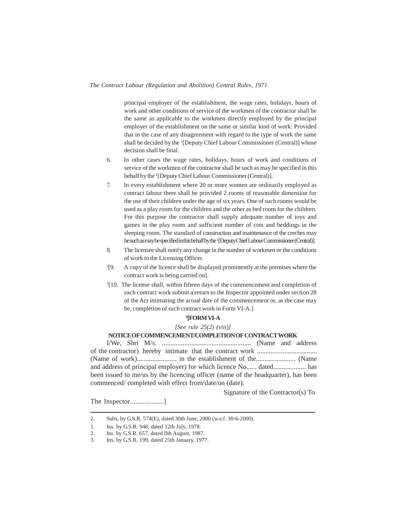principal employer of the establishment, the wage rates, holidays, hours of work and other conditions of service of the workmen of the contractor shall be the same as applicable to the workmen directly employed by the principal employer of the establishment on the same or similar kind of work: Provided that in the case of any disagreement with regard to the type of work the same shall be decided by the <sup>1</sup>[Deputy Chief Labour Commissioner (Central)] whose decision shall be final.

- 6. In other cases the wage rates, holidays, hours of work and conditions of service of the workmen of the contractor shall be such as may be specified in this behalf by the <sup>1</sup>[Deputy Chief Labour Commissioner (Central)].
- 7. In every establishment where 20 or more women are ordinarily employed as contract labour there shall be provided 2 rooms of reasonable dimension for the use of their children under the age of six years. One of such rooms would be used as a play room for the children and the other as bed room for the children. For this purpose the contractor shall supply adequate number of toys and games in the play room and sufficient number of cots and beddings in the sleeping room. The standard of construction and maintenance of the creches may be such as may be specified in this behalf by the <sup>1</sup>[Deputy Chief Labour Commissioner (Central)].
- 8. The licensee shall notify any change in the number of workmen or the conditions of work to the Licensing Officer.
- $^{2}$ [9. [9. A copy of the licence shall be displayed prominently at the premises where the contract work is being carried on].
- <sup>3</sup>[10. The license shall, within fifteen days of the commencement and completion of each contract work submit a return to the Inspector appointed under section 28 of the Act intimating the actual date of the commencement or, as the case may be, completion of such contract work in Form VI-A.]

#### **4 [FORM VI-A**

*[See rule 25(2) (viii)]*

### **NOTICE OF COMMENCEMENT/COMPLETION OF CONTRACT WORK**

I/We, Shri M/s. .................................................... (Name and address of the contractor) hereby intimate that the contract work ................................... (Name of work)....................... in the establishment of the....................... (Name and address of principal employer) for which licence No...... dated................... has been issued to me/us by the licencing officer (name of the headquarter), has been commenced/ completed with effect from/date/on (date).

Signature of the Contractor(s) To

The Inspector....................]

<sup>2.</sup> Subs, by G.S.R. 574(E), dated 30th June, 2000 (w.e.f. 30-6-2000).

<sup>1.</sup> Ins. by G.S.R. 948, dated 12th July, 1978.

<sup>2.</sup> Ins. by G.S.R. 657, dated llth August, 1987.

<sup>3.</sup> Ins. by G.S.R. 199, dated 25th January, 1977.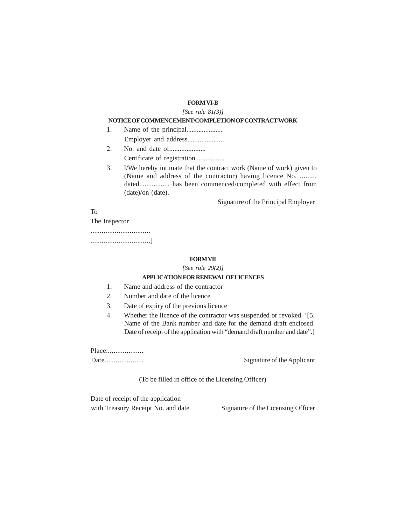### **FORM VI-B**

#### *[See rule 81(3)]*

#### **NOTICE OF COMMENCEMENT/COMPLETION OF CONTRACT WORK**

- 1. Name of the principal..................... Employer and address.....................
- 2. No. and date of..................... Certificate of registration.................
- 3. I/We hereby intimate that the contract work (Name of work) given to (Name and address of the contractor) having licence No. ......... dated................. has been commenced/completed with effect from (date)/on (date).

Signature of the Principal Employer

To

The Inspector

................................ ................................]

#### **FORMVII**

*[See rule 29(2)]*

### **APPLICATION FOR RENEWALOFLICENCES**

- 1. Name and address of the contractor
- 2. Number and date of the licence
- 3. Date of expiry of the previous licence
- 4. Whether the licence of the contractor was suspended or revoked. '[5. Name of the Bank number and date for the demand draft enclosed. Date of receipt of the application with "demand draft number and date".]

Place.....................

Date..................... Signature of the Applicant

(To be filled in office of the Licensing Officer)

Date of receipt of the application with Treasury Receipt No. and date. Signature of the Licensing Officer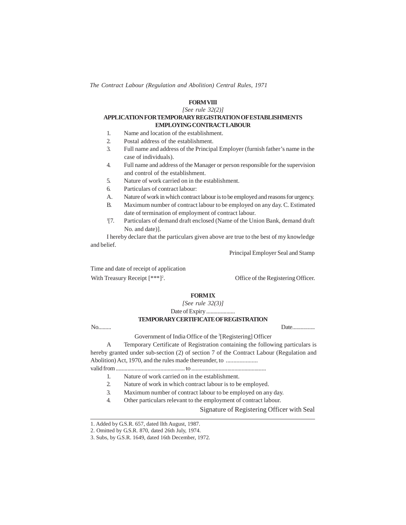### **FORMVIII**

*[See rule 32(2)]*

#### **APPLICATION FOR TEMPORARYREGISTRATION OFESTABLISHMENTS EMPLOYING CONTRACT LABOUR**

- 1. Name and location of the establishment.
- 2. Postal address of the establishment.
- 3. Full name and address of the Principal Employer (furnish father's name in the case of individuals).
- 4. Full name and address of the Manager or person responsible for the supervision and control of the establishment.
- 5. Nature of work carried on in the establishment.
- 6. Particulars of contract labour:
- A. Nature of work in which contract labour is to be employed and reasons for urgency.
- B. Maximum number of contract labour to be employed on any day. C. Estimated date of termination of employment of contract labour.
- $\frac{1}{7}$ . Particulars of demand draft enclosed (Name of the Union Bank, demand draft No. and date)].

I hereby declare that the particulars given above are true to the best of my knowledge and belief.

Principal Employer Seal and Stamp

Time and date of receipt of application With Treasury Receipt [\*\*\*]<sup>2</sup>.

. Office of the Registering Officer.

#### **FORMIX**

*[See rule 32(3)]*

Date of Expiry ....................

#### **TEMPORARYCERTIFICATE OFREGISTRATION**

No......... Date................

Government of India Office of the <sup>3</sup>[Registering] Officer A Temporary Certificate of Registration containing the following particulars is

hereby granted under sub-section (2) of section 7 of the Contract Labour (Regulation and Abolition) Act, 1970, and the rules made thereunder, to ......................... valid from ................................................ to ....................................................

- 1. Nature of work carried on in the establishment.
- 2. Nature of work in which contract labour is to be employed.
- 3. Maximum number of contract labour to be employed on any day.
- 4. Other particulars relevant to the employment of contract labour.

Signature of Registering Officer with Seal

<sup>1.</sup> Added by G.S.R. 657, dated llth August, 1987.

<sup>2.</sup> Omitted by G.S.R. 870, dated 26th July, 1974.

<sup>3.</sup> Subs, by G.S.R. 1649, dated 16th December, 1972.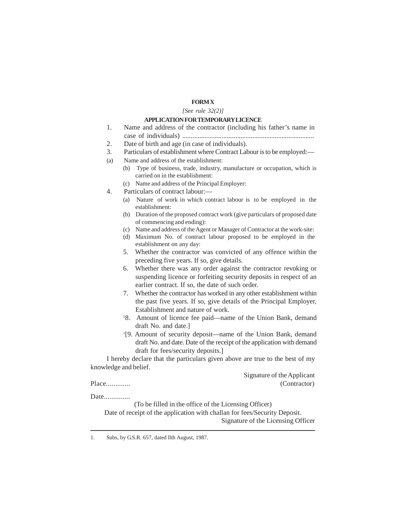### **FORM X**

#### *[See rule 32(2)]*

#### **APPLICATION FOR TEMPORARYLICENCE**

- 1. Name and address of the contractor (including his father's name in case of individuals) .............................................................................
- 2. Date of birth and age (in case of individuals).
- 3. Particulars of establishment where Contract Labour is to be employed:—
- (a) Name and address of the establishment:
	- (b) Type of business, trade, industry, manufacture or occupation, which is carried on in the establishment:
		- (c) Name and address of the Principal Employer:
- 4. Particulars of contract labour:—
	- (a) Nature of work in which contract labour is to be employed in the establishment:
	- (b) Duration of the proposed contract work (give particulars of proposed date of commencing and ending):
	- (c) Name and address of the Agent or Manager of Contractor at the work-site:
	- (d) Maximum No. of contract labour proposed to be employed in the establishment on any day:
	- 5. Whether the contractor was convicted of any offence within the preceding five years. If so, give details.
	- 6. Whether there was any order against the contractor revoking or suspending licence or forfeiting security deposits in respect of an earlier contract. If so, the date of such order.
	- 7. Whether the contractor has worked in any other establishment within the past five years. If so, give details of the Principal Employer, Establishment and nature of work.
	- <sup>1</sup>8. Amount of licence fee paid—name of the Union Bank, demand draft No. and date.]
	- 1 [9. Amount of security deposit—name of the Union Bank, demand draft No. and date. Date of the receipt of the application with demand draft for fees/security deposits.]

I hereby declare that the particulars given above are true to the best of my knowledge and belief.

Signature of the Applicant Place............. (Contractor)

Date..............

(To be filled in the office of the Licensing Officer)

Date of receipt of the application with challan for fees/Security Deposit. Signature of the Licensing Officer

<sup>1.</sup> Subs, by G.S.R. 657, dated llth August, 1987.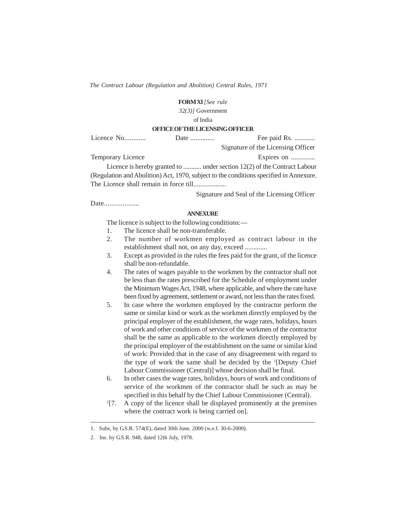#### **FORMXI** *[See rule*

*32(3)]* Government

of India

#### **OFFICE OF THE LICENSINGOFFICER**

Licence No............ Date .............. Fee paid Rs. ............ Signature of the Licensing Officer Temporary Licence Expires on .............. Licence is hereby granted to ........... under section 12(2) of the Contract Labour (Regulation and Abolition) Act, 1970, subject to the conditions specified in Annexure. The Licence shall remain in force till...................

Signature and Seal of the Licensing Officer

Date....................

#### **ANNEXURE**

The licence is subject to the following conditions:—

- 1. The licence shall be non-transferable.
- 2. The number of workmen employed as contract labour in the establishment shall not, on any day, exceed .............
- 3. Except as provided in the rules the fees paid for the grant, of the licence shall be non-refundable.
- 4. The rates of wages payable to the workmen by the contractor shall not be less than the rates prescribed for the Schedule of employment under the Minimum Wages Act, 1948, where applicable, and where the rate have been fixed by agreement, settlement or award, not less than the rates fixed.
- 5. In case where the workmen employed by the contractor perform the same or similar kind or work as the workmen directly employed by the principal employer of the establishment, the wage rates, holidays, hours of work and other conditions of service of the workmen of the contractor shall be the same as applicable to the workmen directly employed by the principal employer of the establishment on the same or similar kind of work: Provided that in the case of any disagreement with regard to the type of work the same shall be decided by the <sup>1</sup> [Deputy Chief Labour Commissioner (Central)] whose decision shall be final.
- 6. In other cases the wage rates, holidays, hours of work and conditions of service of the workmen of the contractor shall be such as may be specified in this behalf by the Chief Labour Commissioner (Central).
- $^{2}[7.$ [7. A copy of the licence shall be displayed prominently at the premises where the contract work is being carried on].

<sup>1.</sup> Subs, by G.S.R. 574(E), dated 30th June, 2000 (w.e.f. 30-6-2000).

<sup>2.</sup> Ins. by G.S.R. 948, dated 12th July, 1978.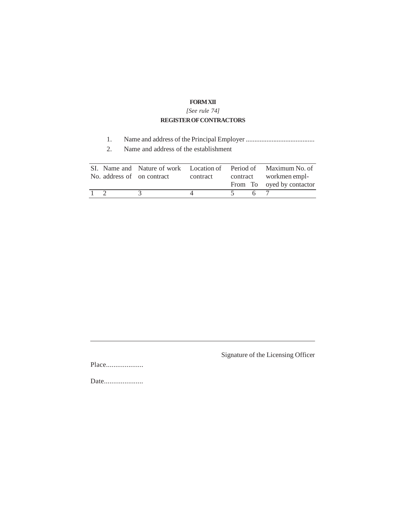### **FORMXII**

*[See rule 74]*

### **REGISTER OF CONTRACTORS**

- 1. Name and address of the Principal Employer ........................................
- 2. Name and address of the establishment

|  | No. address of on contract | contract | SI. Name and Nature of work Location of Period of Maximum No. of<br>contract workmen empl- |
|--|----------------------------|----------|--------------------------------------------------------------------------------------------|
|  |                            |          | From To oyed by contactor                                                                  |
|  |                            |          |                                                                                            |

Signature of the Licensing Officer

Place....................

Date.....................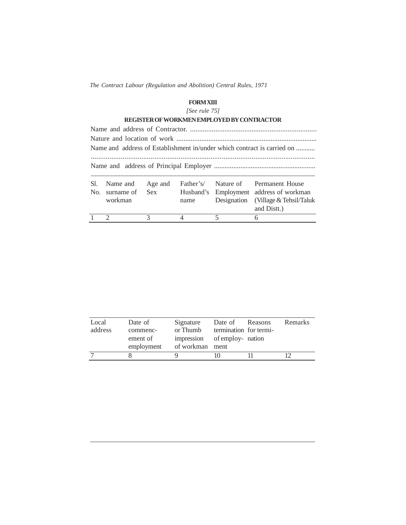### **FORMXIII**

*[See rule 75]*

|     |               |            |           | REGISTER OF WORKMEN EMPLOYED BY CONTRACTOR |                                                                         |  |
|-----|---------------|------------|-----------|--------------------------------------------|-------------------------------------------------------------------------|--|
|     |               |            |           |                                            |                                                                         |  |
|     |               |            |           |                                            |                                                                         |  |
|     |               |            |           |                                            | Name and address of Establishment in/under which contract is carried on |  |
|     |               |            |           |                                            |                                                                         |  |
|     |               |            |           |                                            |                                                                         |  |
|     |               |            |           |                                            |                                                                         |  |
| Sl. | Name and      | Age and    | Father's/ | Nature of                                  | Permanent House                                                         |  |
| No. | surname of    | <b>Sex</b> | Husband's |                                            | Employment address of workman                                           |  |
|     | workman       |            | name      | Designation                                | (Village & Tehsil/Taluk                                                 |  |
|     |               |            |           |                                            | and Distt.)                                                             |  |
|     | $\mathcal{D}$ | 3          | Δ         | 5                                          | 6                                                                       |  |

| Local   | Date of    | Signature                    | Date of Reasons        | Remarks |
|---------|------------|------------------------------|------------------------|---------|
| address | commenc-   | or Thumb                     | termination for termi- |         |
|         | ement of   | impression of employ- nation |                        |         |
|         | employment | of workman ment              |                        |         |
|         |            |                              |                        |         |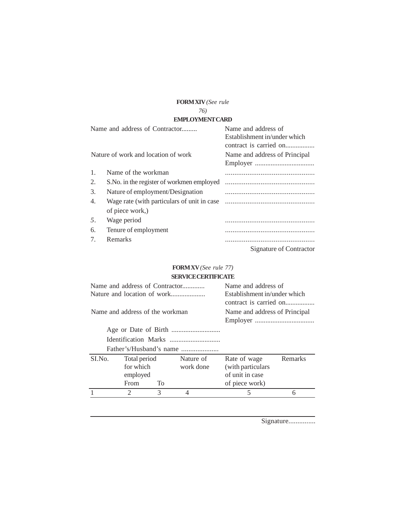### **FORM XIV** *(See rule*

### *76)*

### **EMPLOYMENTCARD**

|                                       | Name and address of Contractor               | Name and address of                                    |
|---------------------------------------|----------------------------------------------|--------------------------------------------------------|
|                                       |                                              | Establishment in/under which<br>contract is carried on |
|                                       |                                              |                                                        |
|                                       | Nature of work and location of work          | Name and address of Principal                          |
|                                       |                                              |                                                        |
| 1.                                    | Name of the workman                          |                                                        |
| 2.                                    | S. No. in the register of workmen employed   |                                                        |
| 3.                                    | Nature of employment/Designation             |                                                        |
| 4.                                    | Wage rate (with particulars of unit in case) |                                                        |
|                                       | of piece work,)                              |                                                        |
| 5.                                    | Wage period                                  |                                                        |
| 6.                                    | Tenure of employment                         |                                                        |
| $7_{\scriptscriptstyle{\ddot{\sim}}}$ | Remarks                                      |                                                        |
|                                       |                                              | Signature of Contractor                                |

### **FORM XV** *(See rule 77)*  **SERVICECERTIFICATE**

|        |                                 |    | Name and address of Contractor                         | Name and address of           |         |  |  |
|--------|---------------------------------|----|--------------------------------------------------------|-------------------------------|---------|--|--|
|        |                                 |    | Establishment in/under which<br>contract is carried on |                               |         |  |  |
|        | Name and address of the workman |    |                                                        | Name and address of Principal |         |  |  |
|        |                                 |    |                                                        |                               |         |  |  |
|        |                                 |    |                                                        |                               |         |  |  |
|        |                                 |    |                                                        |                               |         |  |  |
|        |                                 |    | Father's/Husband's name                                |                               |         |  |  |
| SI.No. | Total period                    |    | Nature of                                              | Rate of wage                  | Remarks |  |  |
|        | for which                       |    | work done                                              | (with particulars)            |         |  |  |
|        | employed                        |    |                                                        | of unit in case               |         |  |  |
|        | From                            | To |                                                        | of piece work)                |         |  |  |
|        | っ                               | 3  | 4                                                      | 5                             | 6       |  |  |
|        |                                 |    |                                                        |                               |         |  |  |

Signature...............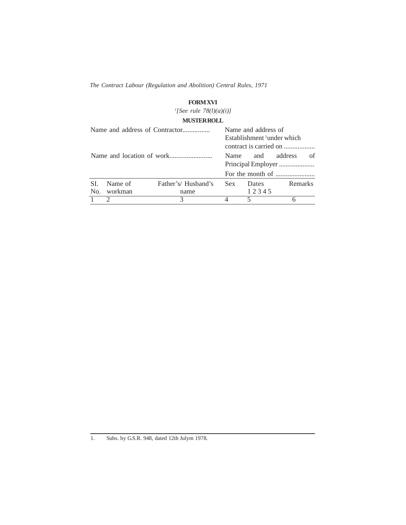### **FORM XVI**

*1 [See rule 78(l)(a)(i)]*

### **MUSTERROLL**

|            |                    |                            |                                     | Name and address of<br>Establishment <sup>1</sup> under which<br>contract is carried on |         |  |  |
|------------|--------------------|----------------------------|-------------------------------------|-----------------------------------------------------------------------------------------|---------|--|--|
|            |                    |                            | address<br>and<br><b>Name</b><br>Ωf |                                                                                         |         |  |  |
| SL.<br>No. | Name of<br>workman | Father's/Husband's<br>name | Sex.                                | Dates<br>12345                                                                          | Remarks |  |  |
|            |                    | 3                          |                                     | 5                                                                                       |         |  |  |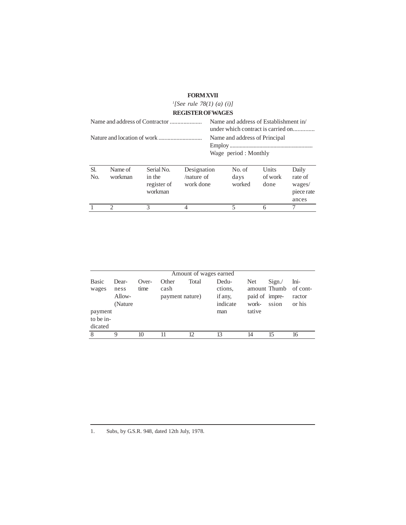### **FORMXVII**

|                                |                    |                                                | <sup>1</sup> [See rule 78(1) (a) (i)]                                       |                                                       |                          |                          |                                                   |
|--------------------------------|--------------------|------------------------------------------------|-----------------------------------------------------------------------------|-------------------------------------------------------|--------------------------|--------------------------|---------------------------------------------------|
|                                |                    |                                                | <b>REGISTER OF WAGES</b>                                                    |                                                       |                          |                          |                                                   |
| Name and address of Contractor |                    |                                                | Name and address of Establishment in/<br>under which contract is carried on |                                                       |                          |                          |                                                   |
|                                |                    |                                                |                                                                             | Name and address of Principal<br>Wage period: Monthly |                          |                          |                                                   |
| SL.<br>N <sub>O</sub>          | Name of<br>workman | Serial No.<br>in the<br>register of<br>workman | Designation<br>$/$ nature of<br>work done                                   |                                                       | No. of<br>days<br>worked | Units<br>of work<br>done | Daily<br>rate of<br>wages/<br>piece rate<br>ances |
|                                | $\mathcal{D}$      | 3                                              | 4                                                                           |                                                       | 5                        | 6                        |                                                   |

|                       |                                     |                 |                                  | Amount of wages earned |                                         |                                       |                |                                                   |
|-----------------------|-------------------------------------|-----------------|----------------------------------|------------------------|-----------------------------------------|---------------------------------------|----------------|---------------------------------------------------|
| <b>Basic</b><br>wages | Dear-<br>ness<br>Allow-<br>(Nature) | $Over-$<br>time | Other<br>cash<br>payment nature) | Total                  | Dedu-<br>ctions,<br>if any,<br>indicate | <b>Net</b><br>paid of impre-<br>work- | Sign.<br>ssion | Ini-<br>amount Thumb of cont-<br>ractor<br>or his |
| payment<br>to be in-  |                                     |                 |                                  |                        | man                                     | tative                                |                |                                                   |
| dicated               |                                     |                 |                                  |                        |                                         |                                       |                |                                                   |
| 8                     | 9                                   | 10              |                                  | 12                     | 13                                      | 14                                    | 15             | 16                                                |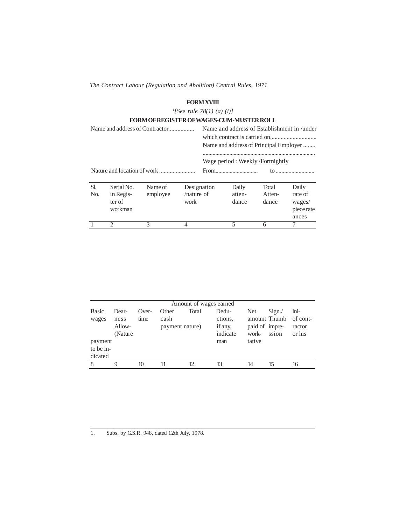### **FORMXVIII**

*1 [See rule 78(1) (a) (i)]*

|                                |                                              | <b>FORM OF REGISTER OF WAGES-CUM-MUSTER ROLL</b> |                                                                                       |             |                                 |                          |                                                   |  |  |
|--------------------------------|----------------------------------------------|--------------------------------------------------|---------------------------------------------------------------------------------------|-------------|---------------------------------|--------------------------|---------------------------------------------------|--|--|
| Name and address of Contractor |                                              |                                                  | Name and address of Establishment in /under<br>Name and address of Principal Employer |             |                                 |                          |                                                   |  |  |
|                                |                                              |                                                  |                                                                                       |             | Wage period: Weekly/Fortnightly |                          |                                                   |  |  |
|                                |                                              |                                                  |                                                                                       | From        |                                 |                          |                                                   |  |  |
| Sl.<br>N <sub>o</sub>          | Serial No.<br>in Regis-<br>ter of<br>workman | Name of<br>employee                              | $/$ nature of<br>work                                                                 | Designation | Daily<br>atten-<br>dance        | Total<br>Atten-<br>dance | Daily<br>rate of<br>wages/<br>piece rate<br>ances |  |  |
|                                | $\mathcal{D}_{\mathcal{A}}$                  | 3                                                | 4                                                                                     |             | 5                               | 6                        |                                                   |  |  |

|                                 |                                     |                 |                                  | Amount of wages earned |                                         |                                       |                                |                                      |
|---------------------------------|-------------------------------------|-----------------|----------------------------------|------------------------|-----------------------------------------|---------------------------------------|--------------------------------|--------------------------------------|
| <b>Basic</b><br>wages           | Dear-<br>ness<br>Allow-<br>(Nature) | $Over-$<br>time | Other<br>cash<br>payment nature) | Total                  | Dedu-<br>ctions,<br>if any,<br>indicate | <b>Net</b><br>paid of impre-<br>work- | Sign.<br>amount Thumb<br>ssion | Ini-<br>of cont-<br>ractor<br>or his |
| payment<br>to be in-<br>dicated |                                     |                 |                                  |                        | man                                     | tative                                |                                |                                      |
| 8                               | 9                                   | 10              | 11                               | 12                     | 13                                      | 14                                    | 15                             | 16                                   |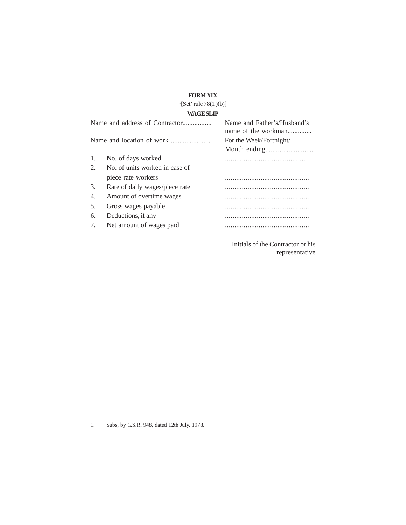### **FORM XIX**

### $\left[$ [Set' rule 78(1)(b)] **WAGE SLIP**

|                             | Name and address of Contractor | Name and Father's/Hushand's<br>name of the workman |
|-----------------------------|--------------------------------|----------------------------------------------------|
|                             |                                | For the Week/Fortnight/                            |
| 1.                          | No. of days worked             |                                                    |
| $\mathcal{D}_{\mathcal{L}}$ | No. of units worked in case of |                                                    |
|                             | piece rate workers             |                                                    |
| 3.                          | Rate of daily wages/piece rate |                                                    |
| 4.                          | Amount of overtime wages       |                                                    |
| .5.                         | Gross wages payable            |                                                    |
| 6.                          | Deductions, if any             |                                                    |
| 7.                          | Net amount of wages paid       |                                                    |
|                             |                                |                                                    |

Initials of the Contractor or his representative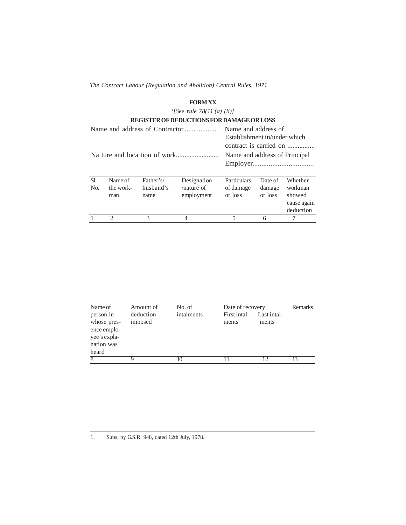### **FORM XX**

*1 [See rule 78(1) (a) (ii)]*

|                       |                             |                                | REGISTER OF DEDUCTIONS FOR DAMAGE OR LOSS  |                                                               |                              |                                                          |  |
|-----------------------|-----------------------------|--------------------------------|--------------------------------------------|---------------------------------------------------------------|------------------------------|----------------------------------------------------------|--|
|                       |                             |                                |                                            | Name and address of                                           |                              |                                                          |  |
|                       |                             |                                |                                            | Establishment in/under which<br>Name and address of Principal |                              | contract is carried on                                   |  |
| Sl.<br>N <sub>O</sub> | Name of<br>the work-<br>man | Father's/<br>husband's<br>name | Designation<br>$/$ nature of<br>employment | Particulars<br>of damage<br>or loss                           | Date of<br>damage<br>or loss | Whether<br>workman<br>showed<br>cause again<br>deduction |  |
|                       | $\mathcal{D}$               | 3                              |                                            | 5                                                             | 6                            |                                                          |  |
|                       |                             |                                |                                            |                                                               |                              |                                                          |  |

| Name of                                                                        | Amount of            | No. of     | Date of recovery      |                      | Remarks |
|--------------------------------------------------------------------------------|----------------------|------------|-----------------------|----------------------|---------|
| person in<br>whose pres-<br>ence emplo-<br>yee's expla-<br>nation was<br>heard | deduction<br>imposed | intalments | First intal-<br>ments | Last intal-<br>ments |         |
| 8                                                                              |                      |            |                       |                      | 13      |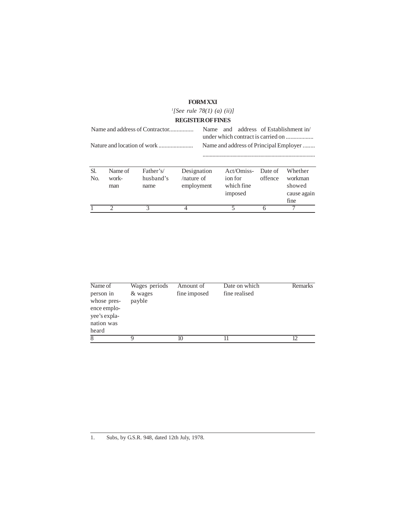### **FORM XXI**

*1 [See rule 78(1) (a) (ii)]*

### **REGISTER OF FINES**

| Name and address of Contractor |                         |                                |                                            | address of Establishment in/<br>and<br>Name. |         |                                     |                    |                                                     |
|--------------------------------|-------------------------|--------------------------------|--------------------------------------------|----------------------------------------------|---------|-------------------------------------|--------------------|-----------------------------------------------------|
|                                |                         |                                |                                            |                                              |         |                                     |                    | Name and address of Principal Employer              |
| Sl.<br>N <sub>0</sub>          | Name of<br>work-<br>man | Father's/<br>husband's<br>name | Designation<br>$/$ nature of<br>employment |                                              | ion for | Act/Omiss-<br>which fine<br>imposed | Date of<br>offence | Whether<br>workman<br>showed<br>cause again<br>fine |
|                                |                         | 3                              | 4                                          |                                              | 5       |                                     | 6                  |                                                     |

| Name of<br>person in<br>whose pres-<br>ence emplo-<br>yee's expla-<br>nation was<br>heard | Wages periods<br>& wages<br>payble | Amount of<br>fine imposed | Date on which<br>fine realised | <b>Remarks</b> |
|-------------------------------------------------------------------------------------------|------------------------------------|---------------------------|--------------------------------|----------------|
| 8                                                                                         |                                    | 10                        |                                |                |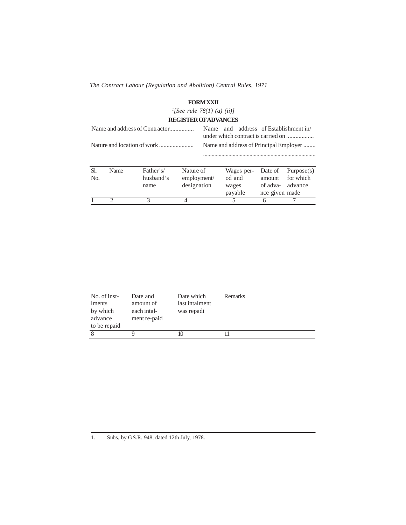#### **FORMXXII**

*1 [See rule 78(1) (a) (ii)]*

### **REGISTER OFADVANCES**

|                |             |           |             |                                        | and address of Establishment in/<br>Name. |            |                |            |  |
|----------------|-------------|-----------|-------------|----------------------------------------|-------------------------------------------|------------|----------------|------------|--|
|                |             |           |             | Name and address of Principal Employer |                                           |            |                |            |  |
|                |             |           |             |                                        |                                           |            |                |            |  |
| SI.            | <b>Name</b> | Father's/ | Nature of   |                                        |                                           | Wages per- | Date of        | Purpose(s) |  |
| N <sub>O</sub> |             | husband's | employment/ |                                        | od and                                    |            | amount         | for which  |  |
|                |             | name      | designation |                                        | wages                                     |            | of adva-       | advance    |  |
|                |             |           |             |                                        | payable                                   |            | nce given made |            |  |
|                | ◠           |           |             |                                        | 5                                         |            | 6              |            |  |

| No. of inst-<br>lments<br>by which<br>advance<br>to be repaid | Date and<br>amount of<br>each intal-<br>ment re-paid | Date which<br>last intalment<br>was repadi | <b>Remarks</b> |
|---------------------------------------------------------------|------------------------------------------------------|--------------------------------------------|----------------|
| 8                                                             |                                                      |                                            |                |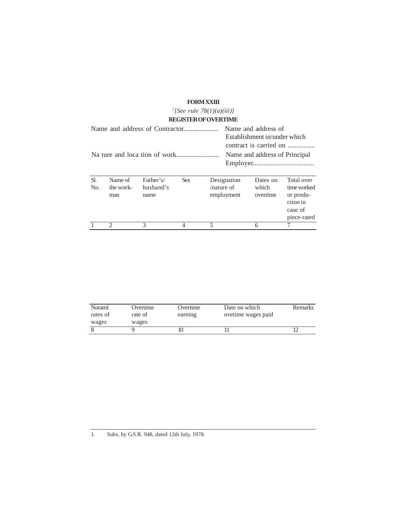### **FORMXXIII**

|  | '[See rule 78(1)(a)(iii)]   |
|--|-----------------------------|
|  | <b>REGISTER OF OVERTIME</b> |

|                                |                             |                                |            | NEGIO I EN GIO VENTINIE                    |                                                                                                                |                                                                              |
|--------------------------------|-----------------------------|--------------------------------|------------|--------------------------------------------|----------------------------------------------------------------------------------------------------------------|------------------------------------------------------------------------------|
| Name and address of Contractor |                             |                                |            |                                            | Name and address of<br>Establishment in/under which<br>contract is carried on<br>Name and address of Principal |                                                                              |
|                                |                             |                                |            |                                            |                                                                                                                |                                                                              |
| Sl.<br>N <sub>O</sub>          | Name of<br>the work-<br>man | Father's/<br>husband's<br>name | <b>Sex</b> | Designation<br>$/$ nature of<br>employment | Dates on<br>which<br>overtime                                                                                  | Total over<br>time worked<br>or produ-<br>ction in<br>case of<br>piece-rated |
|                                |                             | 3                              |            | 5                                          | 6                                                                                                              |                                                                              |

| Noraml<br>rates of | Overtime<br>rate of | Overtime<br>earning | Date on which<br>ovetime wages paid | <b>Remarks</b> |
|--------------------|---------------------|---------------------|-------------------------------------|----------------|
| wages              | wages               |                     |                                     |                |
|                    |                     |                     |                                     |                |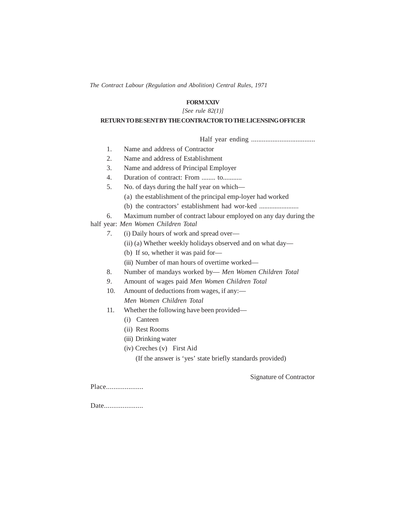### **FORM XXIV**

#### *[See rule 82(1)]*

### **RETURN TO BE SENT BY THE CONTRACTOR TO THE LICENSING OFFICER**

Half year ending ....................................

- 1. Name and address of Contractor
- 2. Name and address of Establishment
- 3. Name and address of Principal Employer
- 4. Duration of contract: From ........ to...........
- 5. No. of days during the half year on which—
	- (a) the establishment of the principal emp-loyer had worked
	- (b) the contractors' establishment had wor-ked .......................
- 6. Maximum number of contract labour employed on any day during the

### half year: *Men Women Children Total*

- *7.* (i) Daily hours of work and spread over—
	- (ii) (a) Whether weekly holidays observed and on what day—
	- (b) If so, whether it was paid for—
	- (iii) Number of man hours of overtime worked—
- 8. Number of mandays worked by— *Men Women Children Total*
- *9.* Amount of wages paid *Men Women Children Total*
- 10. Amount of deductions from wages, if any:— *Men Women Children Total*
- 11. Whether the following have been provided—
	- (i) Canteen
	- (ii) Rest Rooms
	- (iii) Drinking water
	- (iv) Creches (v) First Aid
		- (If the answer is 'yes' state briefly standards provided)

Signature of Contractor

Place.....................

Date......................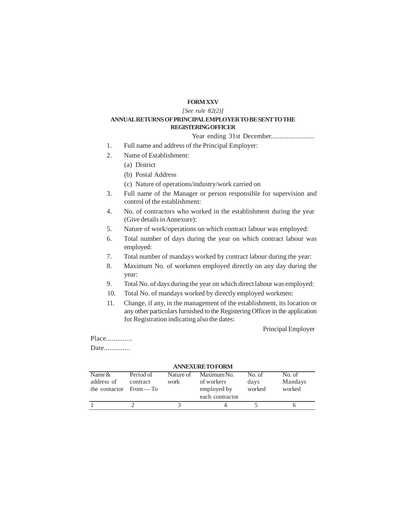### **FORM XXV**

#### *[See rule 82(2)]*

#### **ANNUALRETURNS OF PRINCIPALEMPLOYER TO BE SENTTO THE REGISTERINGOFFICER**

#### Year ending 31st December.........................

- 1. Full name and address of the Principal Employer:
- 2. Name of Establishment:
	- (a) District
	- (b) Postal Address
	- (c) Nature of operations/industry/work carried on
- 3. Full name of the Manager or person responsible for supervision and control of the establishment:
- 4. No. of contractors who worked in the establishment during the year (Give details in Annexure):
- 5. Nature of work/operations on which contract labour was employed:
- 6. Total number of days during the year on which contract labour was employed:
- 7. Total number of mandays worked by contract labour during the year:
- 8. Maximum No. of workmen employed directly on any day during the year:
- 9. Total No. of days during the year on which direct labour was employed:
- 10. Total No. of mandays worked by directly employed workmen:
- 11. Change, if any, in the management of the establishment, its location or any other particulars furnished to the Registering Officer in the application for Registration indicating also the dates:

Principal Employer

Place..............

Date...............

| <b>ANNEXURE TO FORM</b>                              |                       |                   |                                                             |                          |                             |
|------------------------------------------------------|-----------------------|-------------------|-------------------------------------------------------------|--------------------------|-----------------------------|
| Name $\&$<br>address of<br>the contactor $From - To$ | Period of<br>contract | Nature of<br>work | Maximum No.<br>of workers<br>employed by<br>each contractor | No. of<br>days<br>worked | No. of<br>Mandays<br>worked |
|                                                      |                       |                   |                                                             |                          |                             |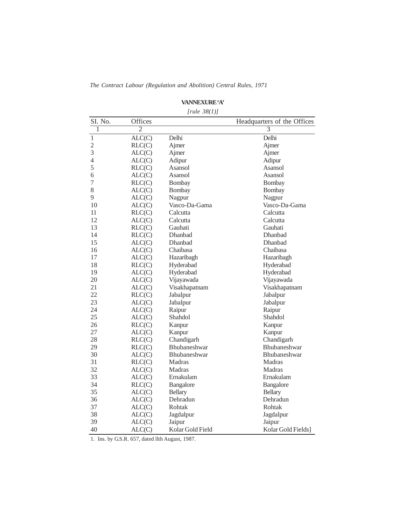|                |                | [rule 38(1)]        |                             |
|----------------|----------------|---------------------|-----------------------------|
| SI. No.        | Offices        |                     | Headquarters of the Offices |
| 1              | $\overline{2}$ |                     | $\overline{3}$              |
| $\mathbf{1}$   | ALC(C)         | Delhi               | Delhi                       |
| $\overline{c}$ | RLC(C)         | Ajmer               | Ajmer                       |
| 3              | ALC(C)         | Ajmer               | Ajmer                       |
| 4              | ALC(C)         | Adipur              | Adipur                      |
| 5              | RLC(C)         | Asansol             | Asansol                     |
| 6              | ALC(C)         | Asansol             | Asansol                     |
| 7              | RLC(C)         | Bombay              | Bombay                      |
| 8              | ALC(C)         | Bombay              | Bombay                      |
| 9              | ALC(C)         | Nagpur              | Nagpur                      |
| 10             | ALC(C)         | Vasco-Da-Gama       | Vasco-Da-Gama               |
| 11             | RLC(C)         | Calcutta            | Calcutta                    |
| 12             | ALC(C)         | Calcutta            | Calcutta                    |
| 13             | RLC(C)         | Gauhati             | Gauhati                     |
| 14             | RLC(C)         | Dhanbad             | Dhanbad                     |
| 15             | ALC(C)         | Dhanbad             | Dhanbad                     |
| 16             | ALC(C)         | Chaibasa            | Chaibasa                    |
| 17             | ALC(C)         | Hazaribagh          | Hazaribagh                  |
| 18             | RLC(C)         | Hyderabad           | Hyderabad                   |
| 19             | ALC(C)         | Hyderabad           | Hyderabad                   |
| 20             | ALC(C)         | Vijayawada          | Vijayawada                  |
| 21             | ALC(C)         | Visakhapatnam       | Visakhapatnam               |
| 22             | RLC(C)         | Jabalpur            | Jabalpur                    |
| 23             | ALC(C)         | Jabalpur            | Jabalpur                    |
| 24             | ALC(C)         | Raipur              | Raipur                      |
| 25             | ALC(C)         | Shahdol             | Shahdol                     |
| 26             | RLC(C)         | Kanpur              | Kanpur                      |
| 27             | ALC(C)         | Kanpur              | Kanpur                      |
| 28             | RLC(C)         | Chandigarh          | Chandigarh                  |
| 29             | RLC(C)         | <b>Bhubaneshwar</b> | Bhubaneshwar                |
| 30             | ALC(C)         | Bhubaneshwar        | Bhubaneshwar                |
| 31             | RLC(C)         | Madras              | Madras                      |
| 32             | ALC(C)         | Madras              | Madras                      |
| 33             | ALC(C)         | Ernakulam           | Ernakulam                   |
| 34             | RLC(C)         | <b>Bangalore</b>    | <b>Bangalore</b>            |
| 35             | ALC(C)         | <b>Bellary</b>      | <b>Bellary</b>              |
| 36             | ALC(C)         | Dehradun            | Dehradun                    |
| 37             | ALC(C)         | Rohtak              | Rohtak                      |
| 38             | ALC(C)         | Jagdalpur           | Jagdalpur                   |
| 39             | ALC(C)         | Jaipur              | Jaipur                      |
| 40             | ALC(C)         | Kolar Gold Field    | Kolar Gold Fields           |

### **VANNEXURE'A'**

#### *[rule 38(1)]*

1. Ins. by G.S.R. 657, dated llth August, 1987.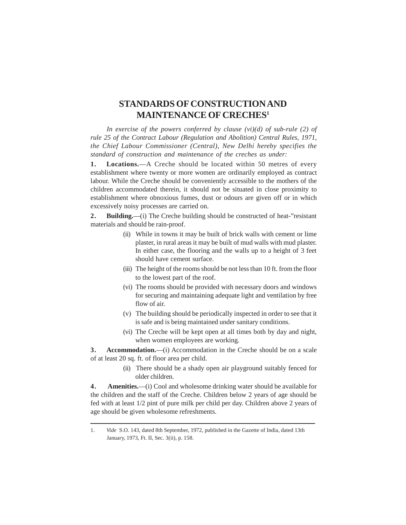# **STANDARDS OF CONSTRUCTION AND MAINTENANCE OF CRECHES<sup>1</sup>**

In exercise of the powers conferred by clause (vi)(d) of sub-rule (2) of *rule 25 of the Contract Labour (Regulation and Abolition) Central Rules, 1971, the Chief Labour Commissioner (Central), New Delhi hereby specifies the standard of construction and maintenance of the creches as under:*

1. Locations.—A Creche should be located within 50 metres of every establishment where twenty or more women are ordinarily employed as contract labour. While the Creche should be conveniently accessible to the mothers of the children accommodated therein, it should not be situated in close proximity to establishment where obnoxious fumes, dust or odours are given off or in which excessively noisy processes are carried on.

**2.** Building.—(i) The Creche building should be constructed of heat-"resistant materials and should be rain-proof.

- (ii) While in towns it may be built of brick walls with cement or lime plaster, in rural areas it may be built of mud walls with mud plaster. In either case, the flooring and the walls up to a height of 3 feet should have cement surface.
- (iii) The height of the rooms should be not less than 10 ft. from the floor to the lowest part of the roof.
- (vi) The rooms should be provided with necessary doors and windows for securing and maintaining adequate light and ventilation by free flow of air.
- (v) The building should be periodically inspected in order to see that it is safe and is being maintained under sanitary conditions.
- (vi) The Creche will be kept open at all times both by day and night, when women employees are working.

**3.** Accommodation.—(i) Accommodation in the Creche should be on a scale of at least 20 sq. ft. of floor area per child.

> (ii) There should be a shady open air playground suitably fenced for older children.

**4 . Amenities.**—(i) Cool and wholesome drinking water should be available for the children and the staff of the Creche. Children below 2 years of age should be fed with at least 1/2 pint of pure milk per child per day. Children above 2 years of age should be given wholesome refreshments.

<sup>1.</sup> *Vide* S.O. 143, dated 8th September, 1972, published in the Gazette of India, dated 13th January, 1973, Ft. II, Sec. 3(ii), p. 158.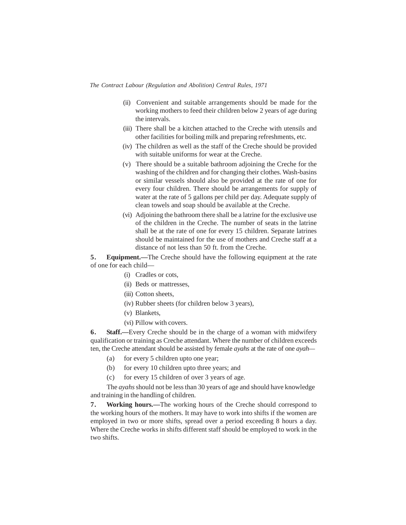- (ii) Convenient and suitable arrangements should be made for the working mothers to feed their children below 2 years of age during the intervals.
- (iii) There shall be a kitchen attached to the Creche with utensils and other facilities for boiling milk and preparing refreshments, etc.
- (iv) The children as well as the staff of the Creche should be provided with suitable uniforms for wear at the Creche.
- (v) There should be a suitable bathroom adjoining the Creche for the washing of the children and for changing their clothes. Wash-basins or similar vessels should also be provided at the rate of one for every four children. There should be arrangements for supply of water at the rate of 5 gallons per child per day. Adequate supply of clean towels and soap should be available at the Creche.
- (vi) Adjoining the bathroom there shall be a latrine for the exclusive use of the children in the Creche. The number of seats in the latrine shall be at the rate of one for every 15 children. Separate latrines should be maintained for the use of mothers and Creche staff at a distance of not less than 50 ft. from the Creche.

**5.** Equipment.—The Creche should have the following equipment at the rate of one for each child—

- (i) Cradles or cots,
- (ii) Beds or mattresses,
- (iii) Cotton sheets,
- (iv) Rubber sheets (for children below 3 years),
- (v) Blankets,
- (vi) Pillow with covers.

**6.** Staff.—Every Creche should be in the charge of a woman with midwifery qualification or training as Creche attendant. Where the number of children exceeds ten, the Creche attendant should be assisted by female *ayahs* at the rate of one *ayah—*

- (a) for every 5 children upto one year;
- (b) for every 10 children upto three years; and
- (c) for every 15 children of over 3 years of age.

The *ayahs* should not be less than 30 years of age and should have knowledge and training in the handling of children.

**7 . Working hours.—**The working hours of the Creche should correspond to the working hours of the mothers. It may have to work into shifts if the women are employed in two or more shifts, spread over a period exceeding 8 hours a day. Where the Creche works in shifts different staff should be employed to work in the two shifts.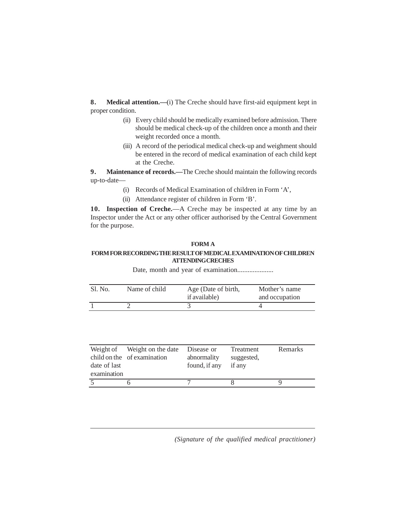**8 . Medical attention.—**(i) The Creche should have first-aid equipment kept in proper condition.

- (ii) Every child should be medically examined before admission. There should be medical check-up of the children once a month and their weight recorded once a month.
- (iii) A record of the periodical medical check-up and weighment should be entered in the record of medical examination of each child kept at the Creche.

**9.** Maintenance of records.—The Creche should maintain the following records up-to-date—

- (i) Records of Medical Examination of children in Form 'A',
- (ii) Attendance register of children in Form 'B'.

**10. Inspection of Creche.**—A Creche may be inspected at any time by an Inspector under the Act or any other officer authorised by the Central Government for the purpose.

### **FORM A**

### **FORM FOR RECORDINGTHE RESULTOFMEDICALEXAMINATION OFCHILDREN ATTENDINGCRECHES**

Date, month and year of examination.....................

| <b>Sl.</b> No. | Name of child | Age (Date of birth,<br>if available) | Mother's name<br>and occupation |
|----------------|---------------|--------------------------------------|---------------------------------|
|                |               |                                      |                                 |

| date of last<br>examination | Weight of Weight on the date<br>child on the of examination | Disease or<br>abnormality<br>found, if any | Treatment<br>suggested,<br>if any | Remarks |
|-----------------------------|-------------------------------------------------------------|--------------------------------------------|-----------------------------------|---------|
|                             |                                                             |                                            |                                   |         |

*(Signature of the qualified medical practitioner)*